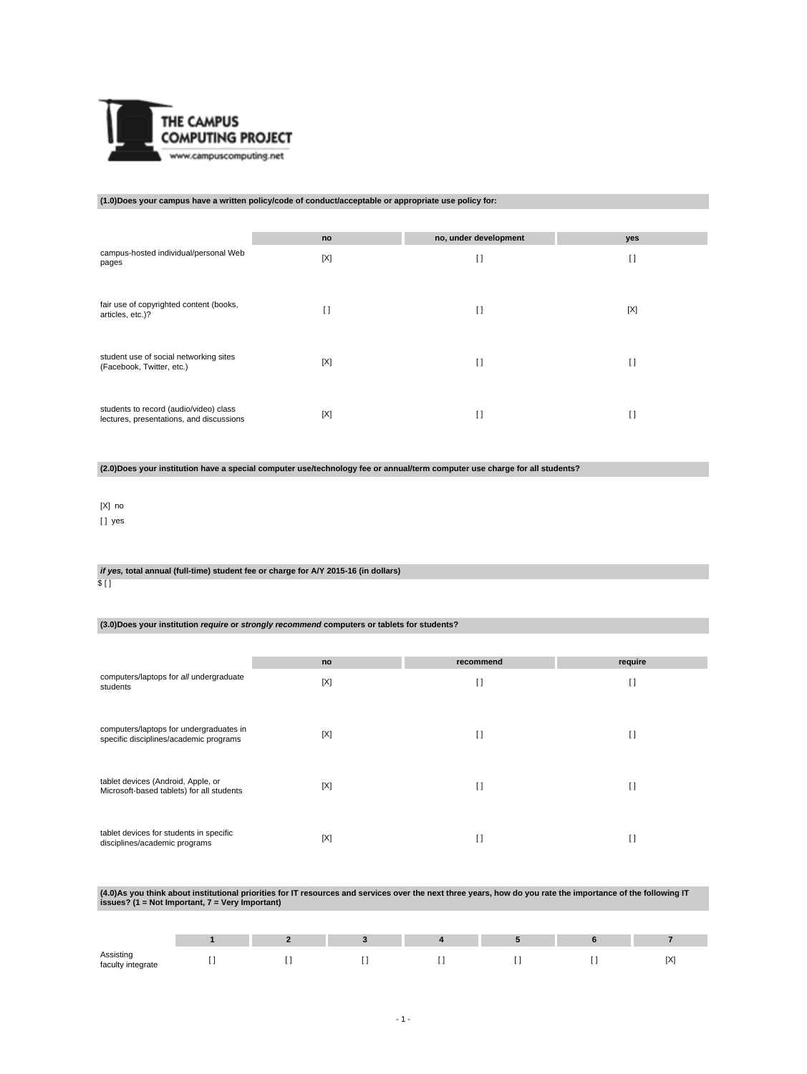

# **(1.0)Does your campus have a written policy/code of conduct/acceptable or appropriate use policy for:**

|                                                                                    | no  | no, under development | yes            |
|------------------------------------------------------------------------------------|-----|-----------------------|----------------|
| campus-hosted individual/personal Web<br>pages                                     | [X] | $\mathbf{I}$          | $\mathfrak{g}$ |
| fair use of copyrighted content (books,<br>articles, etc.)?                        | I)  | $\mathbf{I}$          | [X]            |
| student use of social networking sites<br>(Facebook, Twitter, etc.)                | [X] | $\mathbf{I}$          | I)             |
| students to record (audio/video) class<br>lectures, presentations, and discussions | [X] | $\Box$                | $\Box$         |

**(2.0)Does your institution have a special computer use/technology fee or annual/term computer use charge for all students?**

# [X] no

[ ] yes

# **if yes, total annual (full-time) student fee or charge for A/Y 2015-16 (in dollars)**

 $$$  [ ]

### **(3.0)Does your institution require or strongly recommend computers or tablets for students?**

|                                                                                   | no  | recommend    | require        |
|-----------------------------------------------------------------------------------|-----|--------------|----------------|
| computers/laptops for all undergraduate<br>students                               | [X] | I)           | $\mathfrak{g}$ |
| computers/laptops for undergraduates in<br>specific disciplines/academic programs | [X] | $\Box$       | $\Box$         |
| tablet devices (Android, Apple, or<br>Microsoft-based tablets) for all students   | [X] | $\mathbf{I}$ | $\Box$         |
| tablet devices for students in specific<br>disciplines/academic programs          | [X] | $\Box$       | $\Box$         |

# **(4.0)As you think about institutional priorities for IT resources and services over the next three years, how do you rate the importance of the following IT issues? (1 = Not Important, 7 = Very Important)**

| Assisting<br>faculty integrate |  |  | . . | [X] |
|--------------------------------|--|--|-----|-----|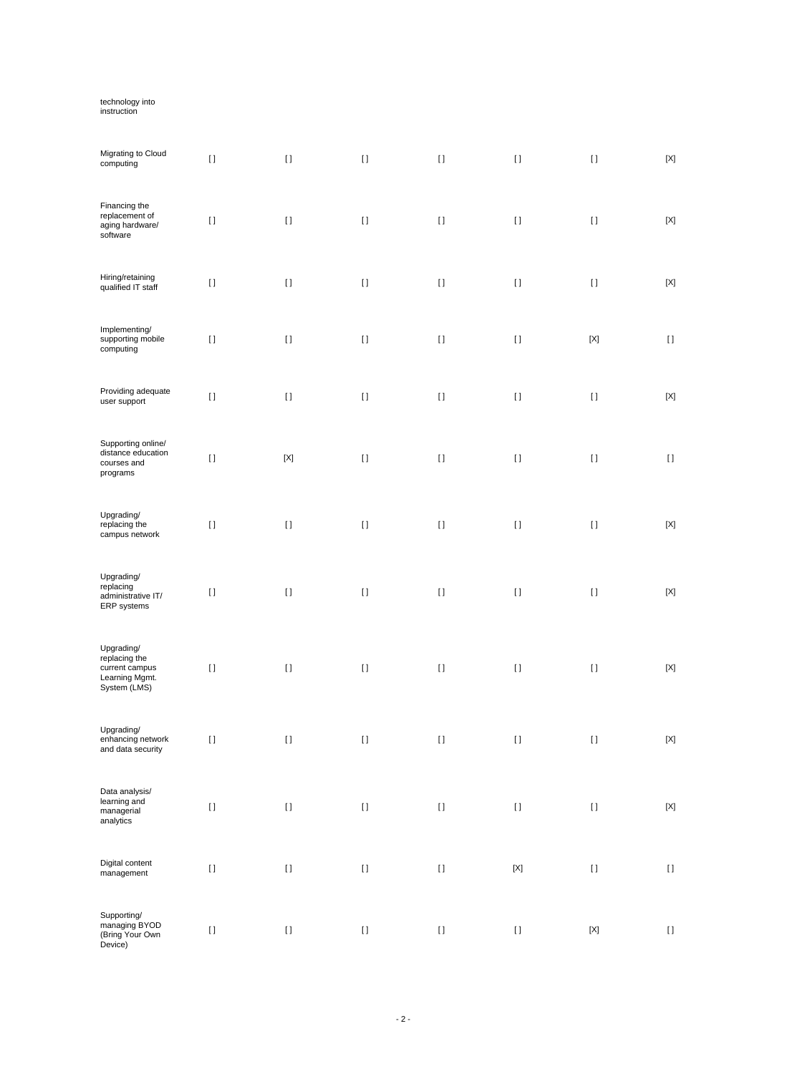# technology into instruction

| Migrating to Cloud<br>computing                                                 | $[ \ ]$  | $[ \; ]$    | $[ \; ]$ | $[ \; ]$                               | $[ \ ]$                   | $[ \ ]$                   | $[{\sf X}]$               |
|---------------------------------------------------------------------------------|----------|-------------|----------|----------------------------------------|---------------------------|---------------------------|---------------------------|
| Financing the<br>replacement of<br>aging hardware/<br>software                  | $[ \; ]$ | $[ \; ]$    | $[ \; ]$ | $\lceil$                               | $[ \ ]$                   | $[ \ ]$                   | $[{\sf X}]$               |
| Hiring/retaining<br>qualified IT staff                                          | $[ \, ]$ | $[ \; ]$    | $[ \ ]$  | $[ \; ]$                               | $[ \ ]$                   | $[ \ ]$                   | $[{\sf X}]$               |
| Implementing/<br>supporting mobile<br>computing                                 | $[ \; ]$ | $[ \; ]$    | $[ \ ]$  | $[ \, ]$                               | $[ \ ]$                   | $\left[ \text{X} \right]$ | $[ \ ]$                   |
| Providing adequate<br>user support                                              | $[ \, ]$ | $[ \; ]$    | $[ \ ]$  | $[ \; ]$                               | $[ \ ]$                   | $[ \ ]$                   | $[{\sf X}]$               |
| Supporting online/<br>distance education<br>courses and<br>programs             | $[ \; ]$ | $[{\sf X}]$ | $[ \ ]$  | $\lceil$                               | $[ \ ]$                   | $[ \ ]$                   | $[ \ ]$                   |
| Upgrading/<br>replacing the<br>campus network                                   | $[ \ ]$  | $[ \; ]$    | $[ \ ]$  | $\lceil$                               | $[ \ ]$                   | $[ \ ]$                   | $[{\sf X}]$               |
| Upgrading/<br>replacing<br>administrative IT/<br>ERP systems                    | $[ \, ]$ | $[ \; ]$    | $[ \; ]$ | $[ \; ]$                               | $[ \ ]$                   | $[ \ ]$                   | $[{\sf X}]$               |
| Upgrading/<br>replacing the<br>current campus<br>Learning Mgmt.<br>System (LMS) | $[ \, ]$ | $[ \; ]$    | $[ \; ]$ | $[ \; ]$                               | $[ \; ]$                  | $[ \ ]$                   | $[{\sf X}]$               |
| Upgrading/<br>enhancing network<br>and data security                            | $[ \; ]$ | $[ \; ]$    | $[ \ ]$  | $[ \; ]$                               | $[ \ ]$                   | $[ \ ]$                   | $[{\sf X}]$               |
| Data analysis/<br>learning and<br>managerial<br>analytics                       | $[ \: ]$ | $[ \ ]$     | $[ \ ]$  | $\begin{array}{c} \square \end{array}$ | $\rm I$ l                 | $[ \; ]$                  | $\left[ \text{X} \right]$ |
| Digital content<br>$m$ anagement                                                | $[ \ ]$  | $[ \; ]$    | $[ \; ]$ | $[ \, ]$                               | $\left[ \text{X} \right]$ | $\left[ \ \right]$        | $\left[ \ \right]$        |
| Supporting/<br>managing BYOD<br>(Bring Your Own<br>Device)                      | $[ \; ]$ | $[ \; ]$    | $[ \; ]$ | $[ \; ]$                               | $[ \; ]$                  | $[{\sf X}]$               | $[ \ ]$                   |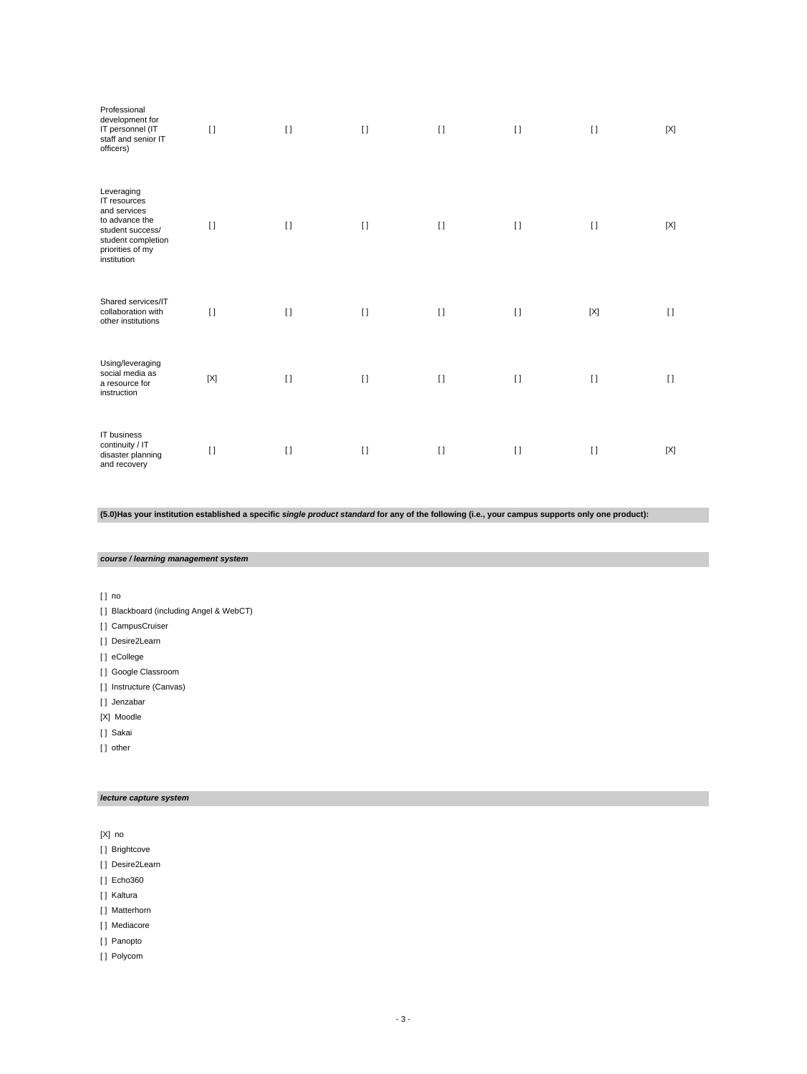| Professional<br>development for<br>IT personnel (IT<br>staff and senior IT<br>officers)                                                   | $[ \ ]$     | $\lceil$ | $\lceil$ | $\mathbf{I}$ | $[ \ ]$ | $[ \ ]$     | [X]    |
|-------------------------------------------------------------------------------------------------------------------------------------------|-------------|----------|----------|--------------|---------|-------------|--------|
| Leveraging<br>IT resources<br>and services<br>to advance the<br>student success/<br>student completion<br>priorities of my<br>institution | $[ \ ]$     | $\lceil$ | $\lceil$ | $[ \ ]$      | $[ \ ]$ | $\lceil$    | [X]    |
| Shared services/IT<br>collaboration with<br>other institutions                                                                            | $[ \ ]$     | $\lceil$ | $\lceil$ | $[ \ ]$      | $[ \ ]$ | $[{\sf X}]$ | $\Box$ |
| Using/leveraging<br>social media as<br>a resource for<br>instruction                                                                      | $[{\sf X}]$ | $\lceil$ | $\lceil$ | $\lceil$     | $[ \ ]$ | $[ \ ]$     | $\Box$ |
| IT business<br>continuity / IT<br>disaster planning<br>and recovery                                                                       | $\lceil$    | $\lceil$ | $[ \ ]$  | $\lceil$     | $[ \ ]$ | $[ \ ]$     | [X]    |

**(5.0)Has your institution established a specific single product standard for any of the following (i.e., your campus supports only one product):**

**course / learning management system**

[ ] no

- [ ] Blackboard (including Angel & WebCT)
- [ ] CampusCruiser
- [] Desire2Learn
- [ ] eCollege
- [ ] Google Classroom
- [ ] Instructure (Canvas)
- [] Jenzabar
- [X] Moodle
- [ ] Sakai
- [] other

# **lecture capture system**

[X] no

- [ ] Brightcove
- [ ] Desire2Learn
- [ ] Echo360
- [ ] Kaltura
- [ ] Matterhorn
- [ ] Mediacore
- [ ] Panopto
- [ ] Polycom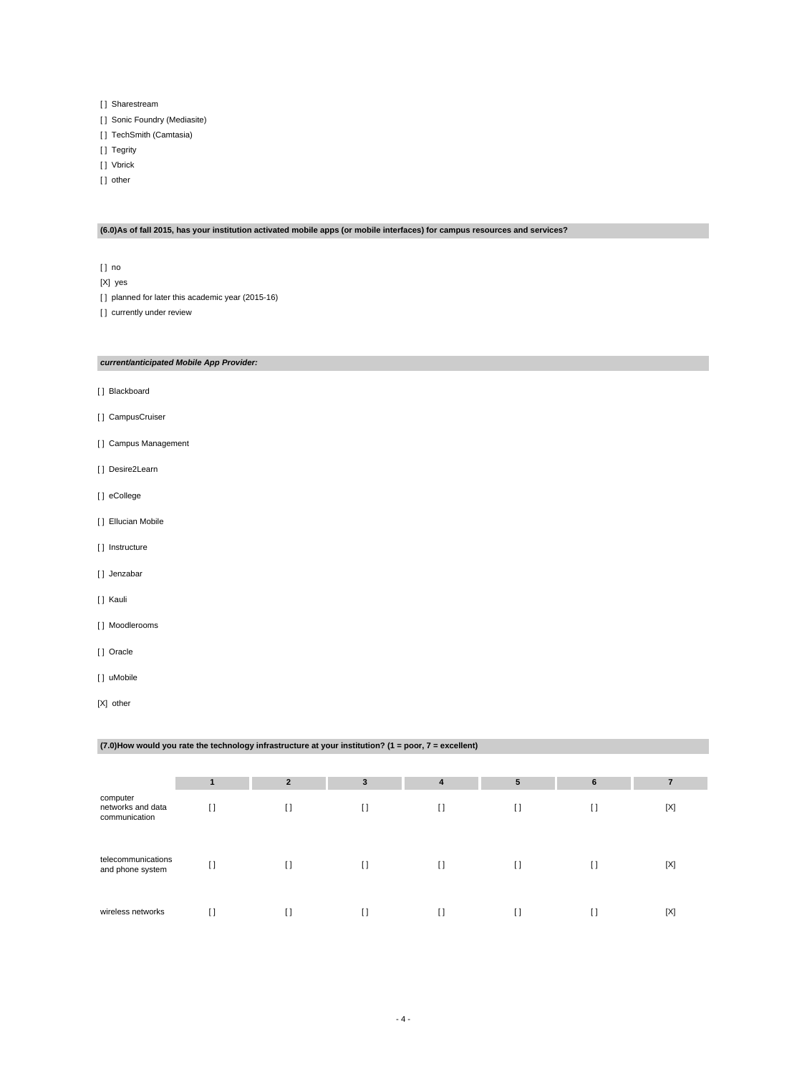- [ ] Sharestream
- [ ] Sonic Foundry (Mediasite)
- [ ] TechSmith (Camtasia)
- [ ] Tegrity
- [ ] Vbrick
- [] other

# **(6.0)As of fall 2015, has your institution activated mobile apps (or mobile interfaces) for campus resources and services?**

- [ ] no
- [X] yes
- [] planned for later this academic year (2015-16)

[] currently under review

### **current/anticipated Mobile App Provider:**

- [ ] Blackboard
- [ ] CampusCruiser
- [ ] Campus Management
- [ ] Desire2Learn
- [ ] eCollege
- [ ] Ellucian Mobile
- [] Instructure
- [] Jenzabar
- [ ] Kauli
- [ ] Moodlerooms
- [ ] Oracle
- [] uMobile
- [X] other

# **(7.0)How would you rate the technology infrastructure at your institution? (1 = poor, 7 = excellent)**

|                                                |    | $\overline{2}$ | 3              | 4  | 5                                      | 6  | 7           |
|------------------------------------------------|----|----------------|----------------|----|----------------------------------------|----|-------------|
| computer<br>networks and data<br>communication |    | $\Box$         | $\lceil$       | H  | $\Box$                                 | IJ | [X]         |
| telecommunications<br>and phone system         | I) | $[ \ ]$        | $[ \ ]$        | H  | $\begin{array}{c} \square \end{array}$ | IJ | $[{\sf X}]$ |
| wireless networks                              |    | H              | $\mathfrak{g}$ | [] |                                        |    | $[{\sf X}]$ |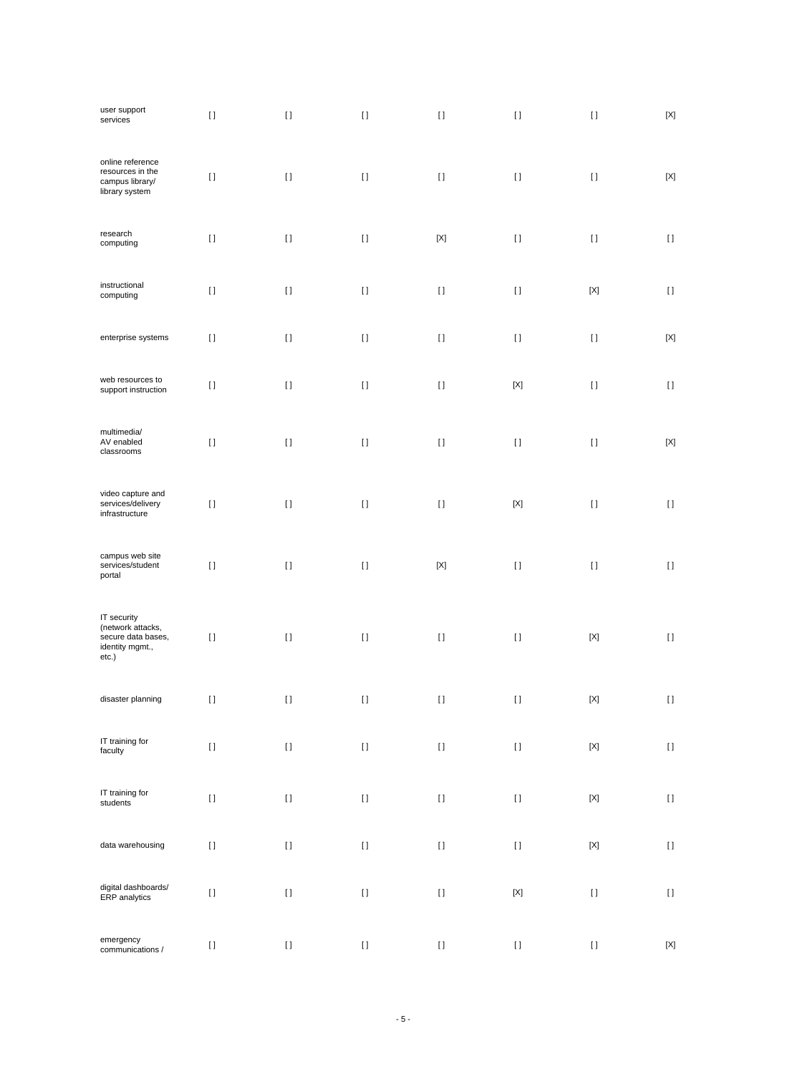| user support<br>services                                                           | $[ \ ]$  | $[ \; ]$ | $[ \; ]$ | $[ \ ]$                                                                                                                                                                                                                                            | $[ \ ]$                                                                                                                                                                                                                                            | $[ \ ]$                   | $\left[ \text{X} \right]$ |
|------------------------------------------------------------------------------------|----------|----------|----------|----------------------------------------------------------------------------------------------------------------------------------------------------------------------------------------------------------------------------------------------------|----------------------------------------------------------------------------------------------------------------------------------------------------------------------------------------------------------------------------------------------------|---------------------------|---------------------------|
| online reference<br>resources in the<br>campus library/<br>library system          | $[ \ ]$  | $[ \ ]$  | $\lceil$ | $[ \ ]$                                                                                                                                                                                                                                            | $[ \ ]$                                                                                                                                                                                                                                            | $[ \ ]$                   | [X]                       |
| research<br>computing                                                              | $[ \; ]$ | $[ \; ]$ | $\lceil$ | $[{\sf X}]$                                                                                                                                                                                                                                        | $[ \ ]$                                                                                                                                                                                                                                            | $[ \ ]$                   | $[ \ ]$                   |
| instructional<br>computing                                                         | $[ \ ]$  | $[ \; ]$ | $[ \ ]$  | $[ \ ]$                                                                                                                                                                                                                                            | $[ \ ]$                                                                                                                                                                                                                                            | $[{\sf X}]$               | $[ \ ]$                   |
| enterprise systems                                                                 | $[ \ ]$  | $[ \; ]$ | $[ \ ]$  | $[ \ ]$                                                                                                                                                                                                                                            | $[ \ ]$                                                                                                                                                                                                                                            | $[ \ ]$                   | $[{\sf X}]$               |
| web resources to<br>support instruction                                            | $[ \ ]$  | $[ \; ]$ | $\lceil$ | $[ \ ]$                                                                                                                                                                                                                                            | $[{\sf X}]$                                                                                                                                                                                                                                        | $[ \ ]$                   | $[ \ ]$                   |
| multimedia/<br>AV enabled<br>classrooms                                            | $[ \; ]$ | $[ \; ]$ | $[ \; ]$ | $[ \, ]$                                                                                                                                                                                                                                           | $[ \, ]$                                                                                                                                                                                                                                           | $[ \; ]$                  | $[{\sf X}]$               |
| video capture and<br>services/delivery<br>infrastructure                           | $[ \; ]$ | $[ \; ]$ | $[ \; ]$ | $[ \ ]$                                                                                                                                                                                                                                            | $[{\sf X}]$                                                                                                                                                                                                                                        | $[ \ ]$                   | $[ \ ]$                   |
| campus web site<br>services/student<br>portal                                      | $[ \, ]$ | $[ \; ]$ | $\lceil$ | $[{\sf X}]$                                                                                                                                                                                                                                        | $[ \ ]$                                                                                                                                                                                                                                            | $[ \ ]$                   | $[ \ ]$                   |
| IT security<br>(network attacks,<br>secure data bases,<br>identity mgmt.,<br>etc.) | $[ \; ]$ | $[ \; ]$ | $[ \ ]$  | $[ \, ]$                                                                                                                                                                                                                                           | $[ \, ]$                                                                                                                                                                                                                                           | $[{\sf X}]$               | $[ \; ]$                  |
| disaster planning                                                                  | $[ \; ]$ | $[ \ ]$  | $[ \; ]$ | $[ \; ]$                                                                                                                                                                                                                                           | $[ \; ]$                                                                                                                                                                                                                                           | $[{\sf X}]$               | $[ \ ]$                   |
| IT training for<br>faculty                                                         | $[ \, ]$ | $[ \: ]$ | $[ \ ]$  | $\mathop{\rm I}\nolimits$                                                                                                                                                                                                                          | $[ \: ]$                                                                                                                                                                                                                                           | $\left[ \text{X} \right]$ | $[ \: ]$                  |
| IT training for<br>students                                                        | $[ \: ]$ | $[ \ ]$  | $[ \ ]$  | $[ \, ]$                                                                                                                                                                                                                                           | $[ \: ]$                                                                                                                                                                                                                                           | $\left[ \text{X} \right]$ | $[ \ ]$                   |
| data warehousing                                                                   | $[ \: ]$ | $[ \ ]$  | $[ \ ]$  | $[] \centering \includegraphics[width=0.47\textwidth]{images/TrDiS-Architecture.png} \caption{The 3D (top) and 4D (bottom) are used for the 3D (bottom) and 3D (bottom).} \label{TrDiS-Architecture}$                                              | $[] \centering \includegraphics[width=0.47\textwidth]{images/TrDiS-Architecture.png} \caption{The 3D (top) and 4D (bottom) are used for the 3D (bottom) and 3D (bottom) are used for the 3D (bottom) and 3D (bottom).} \label{TrDiS-Architecture}$ | $\left[ \text{X} \right]$ | $[ \: ]$                  |
| digital dashboards/<br>ERP analytics                                               | $[ \, ]$ | $[ \ ]$  | $[ \ ]$  | $[ \, ]$                                                                                                                                                                                                                                           | $[{\sf X}]$                                                                                                                                                                                                                                        | $[ \ ]$                   | $[ \ ]$                   |
| emergency<br>communications /                                                      | $[ \ ]$  | $[ \ ]$  | $[ \ ]$  | $[] \centering \includegraphics[width=0.47\textwidth]{images/TrDiS-Architecture.png} \caption{The 3D (top) and 4D (bottom) are used for the 3D (bottom) and 3D (bottom) are used for the 3D (bottom) and 3D (bottom).} \label{TrDiS-Architecture}$ | $[ \: ]$                                                                                                                                                                                                                                           | $[ \: ]$                  | $[{\sf X}]$               |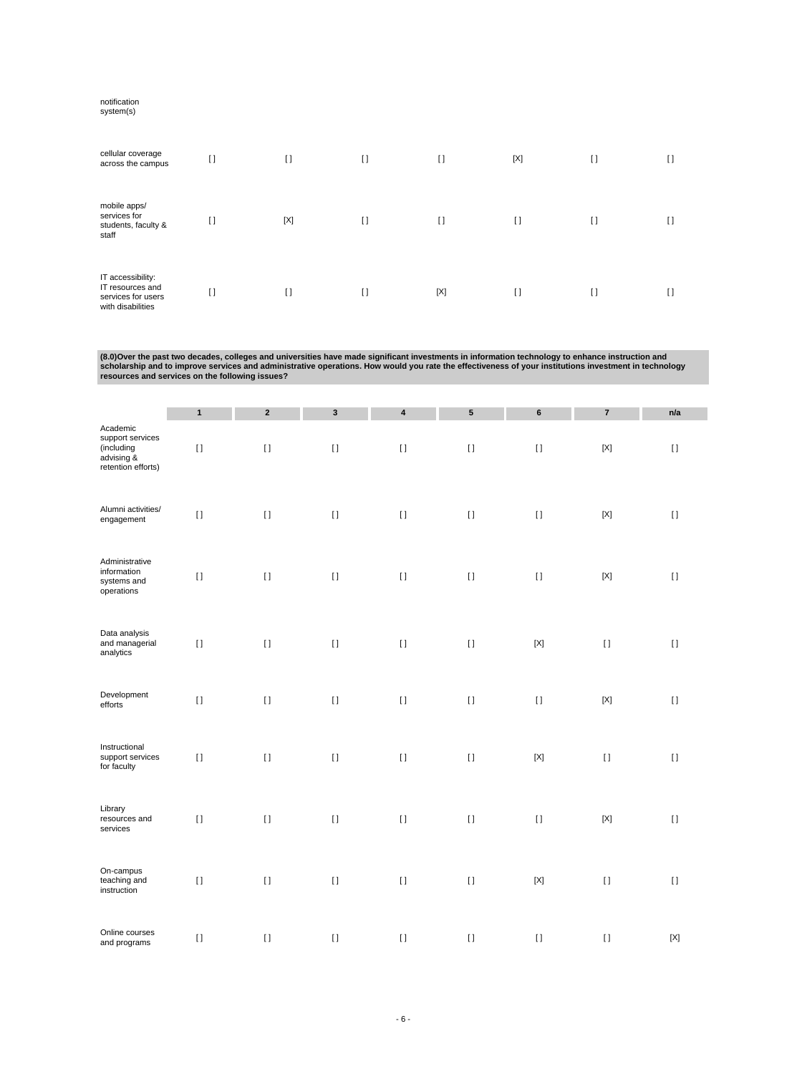#### notification

system(s)

| cellular coverage<br>across the campus                                           | $[ \ ]$ | $\mathbf{I}$ | $\mathbf{I}$ | $\mathbf{I}$ | [X]     | $\Box$ | H |
|----------------------------------------------------------------------------------|---------|--------------|--------------|--------------|---------|--------|---|
| mobile apps/<br>services for<br>students, faculty &<br>staff                     | Π       | $[{\sf X}]$  | I)           | I)           | I)      | H      |   |
| IT accessibility:<br>IT resources and<br>services for users<br>with disabilities | H       | I)           | I)           | $[{\sf X}]$  | $[ \ ]$ | $\Box$ | U |

(8.0)Over the past two decades, colleges and universities have made significant investments in information technology to enhance instruction and<br>scholarship and to improve services and administrative operations. How would

|                                                                                | $\mathbf{1}$ | $\mathbf 2$ | $\mathbf{3}$       | $\pmb{4}$    | ${\bf 5}$ | $\bf 6$     | $\boldsymbol{7}$ | n/a         |
|--------------------------------------------------------------------------------|--------------|-------------|--------------------|--------------|-----------|-------------|------------------|-------------|
| Academic<br>support services<br>(including<br>advising &<br>retention efforts) | $[ \; ]$     | $[ \ ]$     | $[ \ ]$            | $\mathbf{I}$ | $[ \ ]$   | $[ \ ]$     | $[{\sf X}]$      | $[ \ ]$     |
| Alumni activities/<br>engagement                                               | $[ \ ]$      | $[ \; ]$    | $[ \ ]$            | $[ \; ]$     | $[ \; ]$  | $[ \; ]$    | $[{\sf X}]$      | $[ \ ]$     |
| Administrative<br>information<br>systems and<br>operations                     | $[ \ ]$      | $[ \; ]$    | $[ \ ]$            | $[ \ ]$      | $[ \ ]$   | $[ \ ]$     | $[{\sf X}]$      | $[ \ ]$     |
| Data analysis<br>and managerial<br>analytics                                   | $[ \; ]$     | $\lceil$    | $[ \; ]$           | $\mathbf{I}$ | $[ \ ]$   | $[{\sf X}]$ | $[ \; ]$         | $[ \ ]$     |
| Development<br>efforts                                                         | $[ \; ]$     | $[ \; ]$    | $[ \ ]$            | $[ \ ]$      | $[ \ ]$   | $[ \ ]$     | $[{\sf X}]$      | $[ \ ]$     |
| Instructional<br>support services<br>for faculty                               | $[ \; ]$     | $[ \; ]$    | $\left[ \ \right]$ | $[ \; ]$     | $[ \; ]$  | $[{\sf X}]$ | $[ \; ]$         | $[ \; ]$    |
| Library<br>resources and<br>services                                           | $\lceil$     | $\lceil$    | $[ \ ]$            | $\mathbf{I}$ | $[ \ ]$   | $[ \; ]$    | $[{\sf X}]$      | $[ \ ]$     |
| On-campus<br>teaching and<br>instruction                                       | $[ \; ]$     | $[ \; ]$    | $[ \; ]$           | $[ \; ]$     | $[ \ ]$   | $[{\sf X}]$ | $[ \; ]$         | $[ \ ]$     |
| Online courses<br>and programs                                                 | $[ \; ]$     | $[ \; ]$    | $[ \ ]$            | $\lceil$     | $[ \ ]$   | $[ \ ]$     | $[ \ ]$          | $[{\sf X}]$ |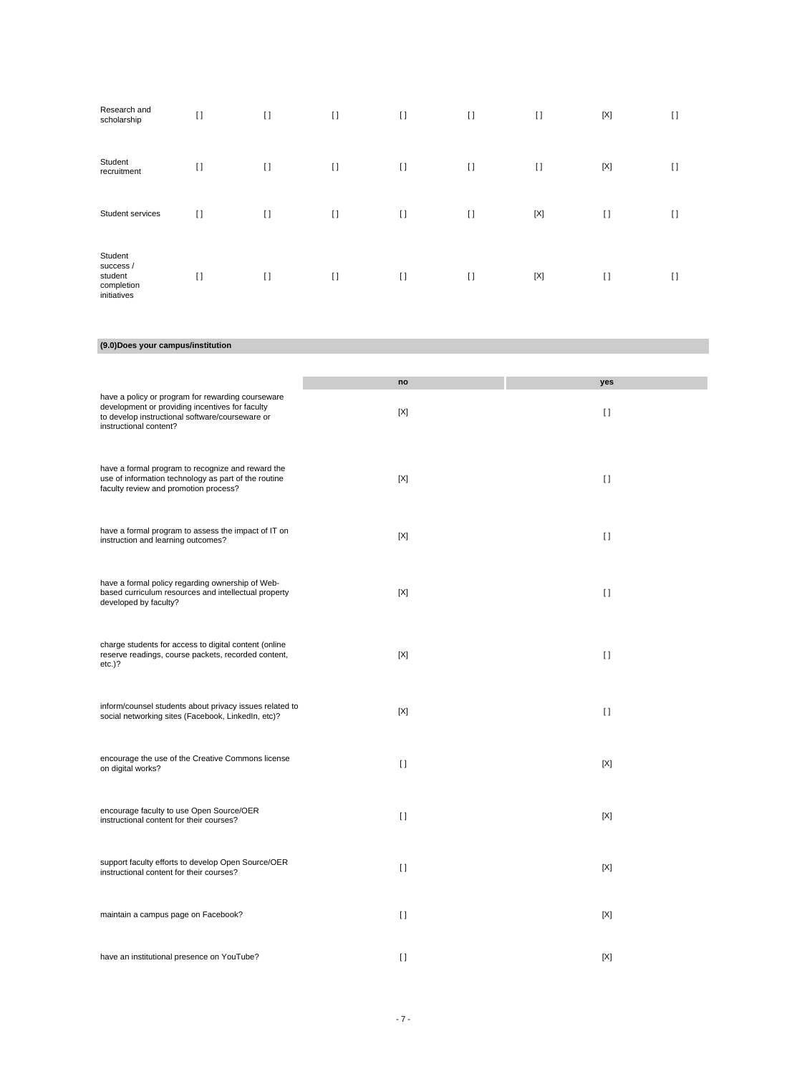| Research and<br>scholarship                                  | $[ \ ]$  | $\lceil$ | $[ \ ]$  | $[ \ ]$  | $[ \ ]$  | $\lceil$    | $[{\sf X}]$  | I)           |
|--------------------------------------------------------------|----------|----------|----------|----------|----------|-------------|--------------|--------------|
| Student<br>recruitment                                       | $[ \ ]$  | $\lceil$ | $[ \ ]$  | $\lceil$ | $\lceil$ | $\lceil$    | $[{\sf X}]$  | I)           |
| Student services                                             | $[ \ ]$  | $[ \ ]$  | $[ \ ]$  | $[ \ ]$  | $[ \ ]$  | $[{\sf X}]$ | $\mathbf{I}$ | I)           |
| Student<br>success /<br>student<br>completion<br>initiatives | $\lceil$ | $\lceil$ | $\lceil$ | $\lceil$ | $[ \ ]$  | $[{\sf X}]$ | $\mathbf{I}$ | $\mathbf{I}$ |

# **(9.0)Does your campus/institution**

|                                                                                                                                                                                   | no       | yes      |
|-----------------------------------------------------------------------------------------------------------------------------------------------------------------------------------|----------|----------|
| have a policy or program for rewarding courseware<br>development or providing incentives for faculty<br>to develop instructional software/courseware or<br>instructional content? | [X]      | $\lceil$ |
| have a formal program to recognize and reward the<br>use of information technology as part of the routine<br>faculty review and promotion process?                                | [X]      | $\lceil$ |
| have a formal program to assess the impact of IT on<br>instruction and learning outcomes?                                                                                         | [X]      | $\Box$   |
| have a formal policy regarding ownership of Web-<br>based curriculum resources and intellectual property<br>developed by faculty?                                                 | [X]      | $[ \ ]$  |
| charge students for access to digital content (online<br>reserve readings, course packets, recorded content,<br>$etc.$ )?                                                         | [X]      | $\lceil$ |
| inform/counsel students about privacy issues related to<br>social networking sites (Facebook, LinkedIn, etc)?                                                                     | [X]      | $\Box$   |
| encourage the use of the Creative Commons license<br>on digital works?                                                                                                            | $\Box$   | [X]      |
| encourage faculty to use Open Source/OER<br>instructional content for their courses?                                                                                              | $\lceil$ | [X]      |
| support faculty efforts to develop Open Source/OER<br>instructional content for their courses?                                                                                    | $\Box$   | [X]      |
| maintain a campus page on Facebook?                                                                                                                                               | $\lceil$ | [X]      |
| have an institutional presence on YouTube?                                                                                                                                        | $\lceil$ | [X]      |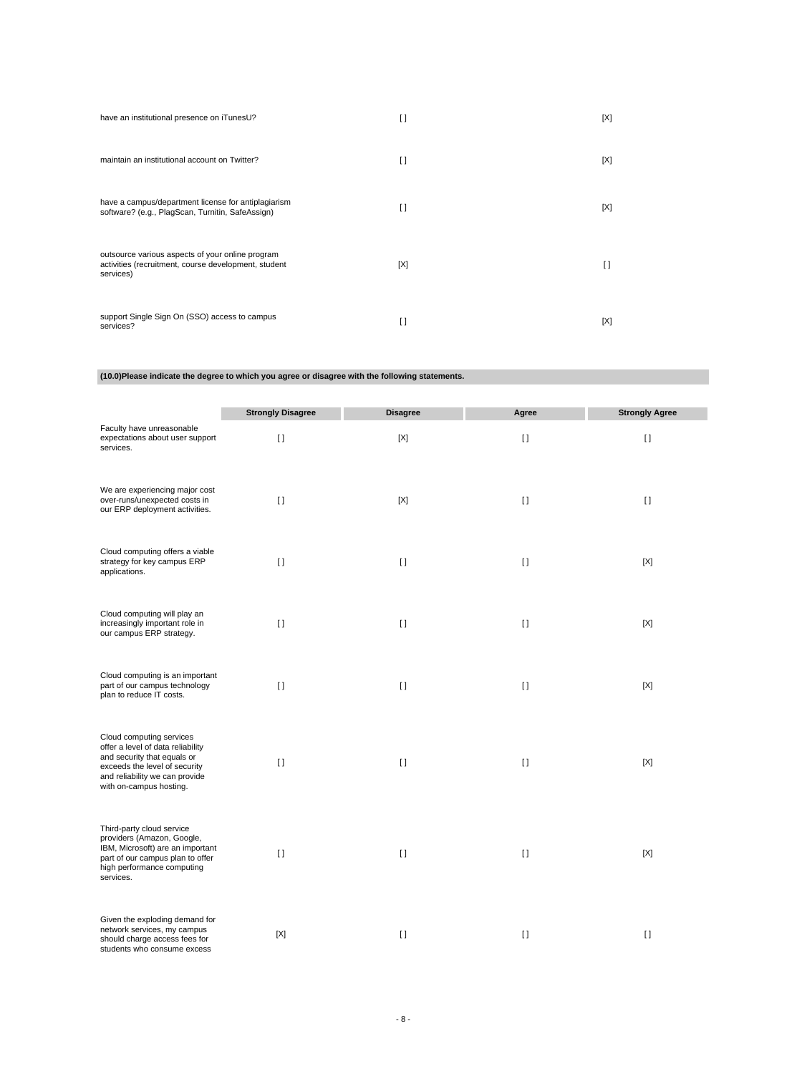| have an institutional presence on iTunesU?                                                                            | I)             | [X] |
|-----------------------------------------------------------------------------------------------------------------------|----------------|-----|
| maintain an institutional account on Twitter?                                                                         | $\mathfrak{g}$ | [X] |
| have a campus/department license for antiplagiarism<br>software? (e.g., PlagScan, Turnitin, SafeAssign)               | n              | [X] |
| outsource various aspects of your online program<br>activities (recruitment, course development, student<br>services) | [X]            | П   |
| support Single Sign On (SSO) access to campus<br>services?                                                            | n              | [X] |

**(10.0)Please indicate the degree to which you agree or disagree with the following statements.**

|                                                                                                                                                                                            | <b>Strongly Disagree</b> | <b>Disagree</b> | Agree        | <b>Strongly Agree</b> |
|--------------------------------------------------------------------------------------------------------------------------------------------------------------------------------------------|--------------------------|-----------------|--------------|-----------------------|
| Faculty have unreasonable<br>expectations about user support<br>services.                                                                                                                  | $\Box$                   | $[{\sf X}]$     | $[ \ ]$      | $[ \ ]$               |
| We are experiencing major cost<br>over-runs/unexpected costs in<br>our ERP deployment activities.                                                                                          | $\Box$                   | [X]             | $[ \ ]$      | $[ \ ]$               |
| Cloud computing offers a viable<br>strategy for key campus ERP<br>applications.                                                                                                            | $\lceil$                 | $\mathbf{I}$    | $[ \ ]$      | [X]                   |
| Cloud computing will play an<br>increasingly important role in<br>our campus ERP strategy.                                                                                                 | $\lceil$                 | $\mathbf{I}$    | $\mathbf{I}$ | $[{\sf X}]$           |
| Cloud computing is an important<br>part of our campus technology<br>plan to reduce IT costs.                                                                                               | $\lceil$                 | $\mathbf{I}$    | $\mathbf{I}$ | $[{\sf X}]$           |
| Cloud computing services<br>offer a level of data reliability<br>and security that equals or<br>exceeds the level of security<br>and reliability we can provide<br>with on-campus hosting. | $[ \ ]$                  | $[ \ ]$         | $[ \ ]$      | [X]                   |
| Third-party cloud service<br>providers (Amazon, Google,<br>IBM, Microsoft) are an important<br>part of our campus plan to offer<br>high performance computing<br>services.                 | $\lceil$                 | $\lceil$        | $[ \ ]$      | $[{\sf X}]$           |
| Given the exploding demand for<br>network services, my campus<br>should charge access fees for<br>students who consume excess                                                              | [X]                      | $\Box$          | $[ \ ]$      | $\Box$                |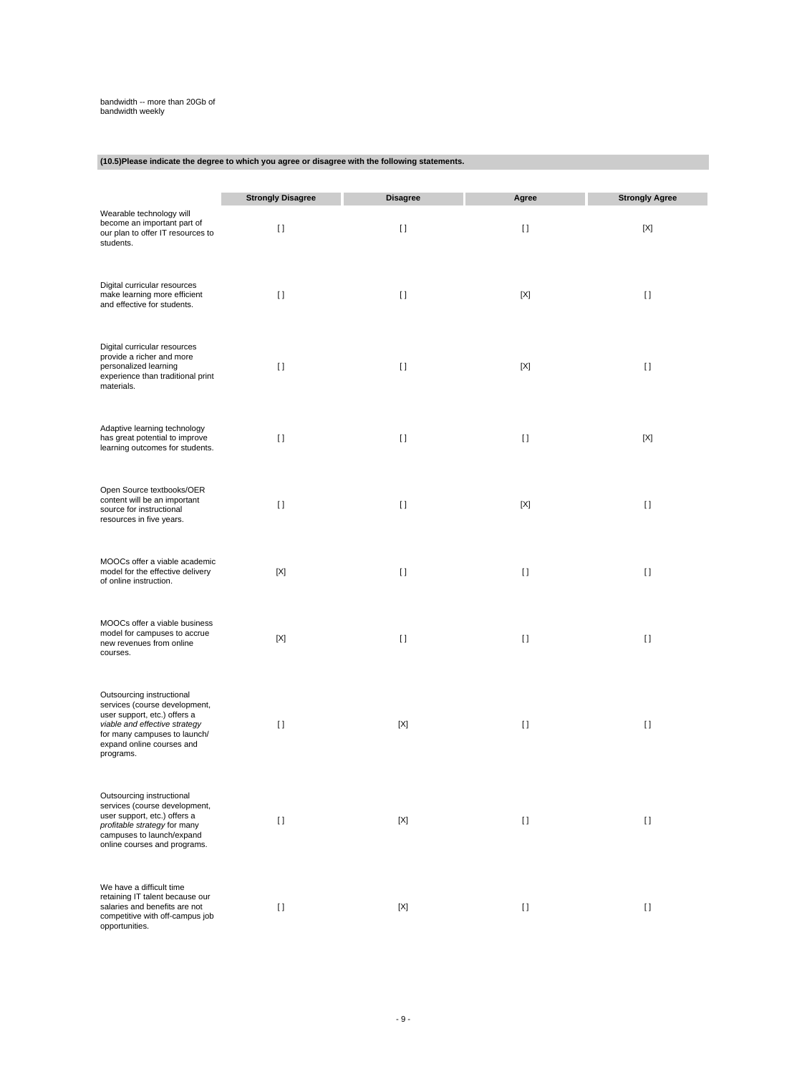# bandwidth -- more than 20Gb of bandwidth weekly

# **(10.5)Please indicate the degree to which you agree or disagree with the following statements.**

|                                                                                                                                                                                                       | <b>Strongly Disagree</b> | <b>Disagree</b> | Agree       | <b>Strongly Agree</b> |
|-------------------------------------------------------------------------------------------------------------------------------------------------------------------------------------------------------|--------------------------|-----------------|-------------|-----------------------|
| Wearable technology will<br>become an important part of<br>our plan to offer IT resources to<br>students.                                                                                             | $\lceil$                 | $\mathbf{I}$    | $[ \ ]$     | $[{\sf X}]$           |
| Digital curricular resources<br>make learning more efficient<br>and effective for students.                                                                                                           | $[ \ ]$                  | $[ \ ]$         | [X]         | $[ \ ]$               |
| Digital curricular resources<br>provide a richer and more<br>personalized learning<br>experience than traditional print<br>materials.                                                                 | $[ \ ]$                  | $[ \ ]$         | $[{\sf X}]$ | $[ \ ]$               |
| Adaptive learning technology<br>has great potential to improve<br>learning outcomes for students.                                                                                                     | $[ \ ]$                  | $[ \ ]$         | $[ \ ]$     | [X]                   |
| Open Source textbooks/OER<br>content will be an important<br>source for instructional<br>resources in five years.                                                                                     | $[ \ ]$                  | $[ \ ]$         | $[{\sf X}]$ | $[ \ ]$               |
| MOOCs offer a viable academic<br>model for the effective delivery<br>of online instruction.                                                                                                           | $[{\sf X}]$              | $[ \ ]$         | $[ \ ]$     | $[ \ ]$               |
| MOOCs offer a viable business<br>model for campuses to accrue<br>new revenues from online<br>courses.                                                                                                 | [X]                      | $\mathbf{I}$    | $[ \ ]$     | $\lceil$              |
| Outsourcing instructional<br>services (course development,<br>user support, etc.) offers a<br>viable and effective strategy<br>for many campuses to launch/<br>expand online courses and<br>programs. | $[ \ ]$                  | [X]             | H           | $[ \ ]$               |
| Outsourcing instructional<br>services (course development,<br>user support, etc.) offers a<br>profitable strategy for many<br>campuses to launch/expand<br>online courses and programs.               | $\lceil$                 | [X]             | $[ \ ]$     | $[ \ ]$               |
| We have a difficult time<br>retaining IT talent because our<br>salaries and benefits are not<br>competitive with off-campus job<br>opportunities.                                                     | $\lceil$                 | $[{\sf X}]$     | $[ \ ]$     | $[ \; ]$              |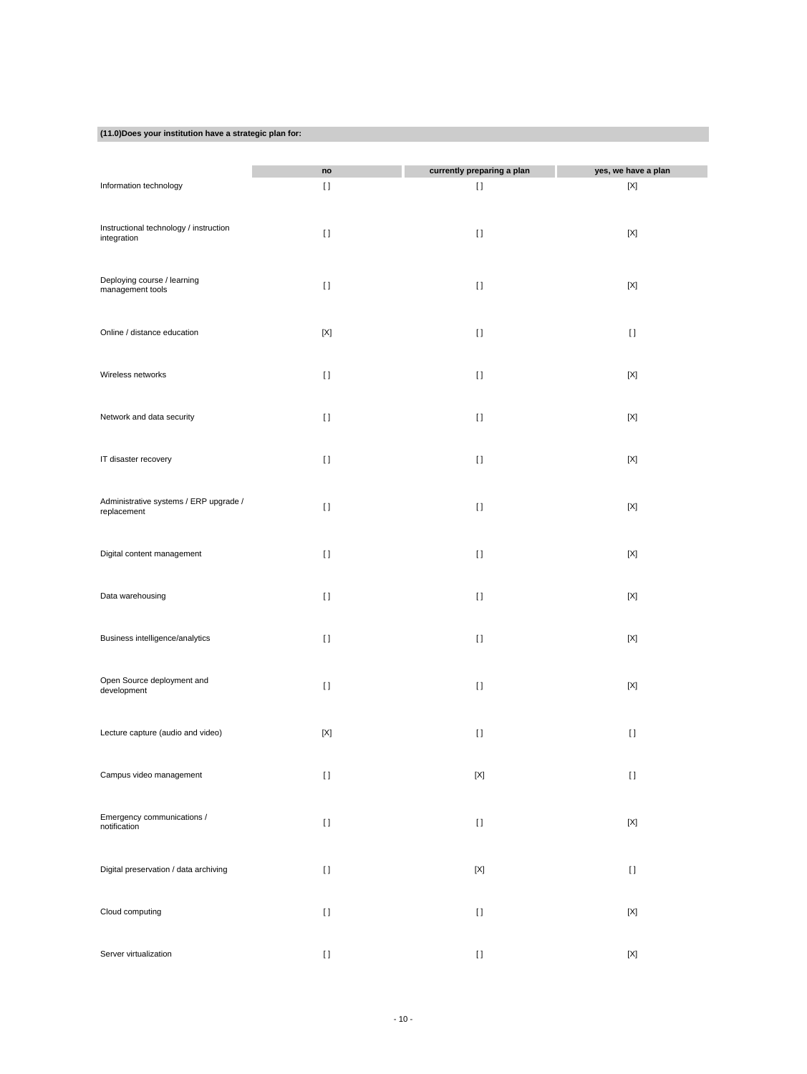# **(11.0)Does your institution have a strategic plan for:**

|                                                 | no          | currently preparing a plan                                                                                                                                                                                                                         | yes, we have a plan       |
|-------------------------------------------------|-------------|----------------------------------------------------------------------------------------------------------------------------------------------------------------------------------------------------------------------------------------------------|---------------------------|
| Information technology                          | H           | H                                                                                                                                                                                                                                                  | [X]                       |
|                                                 |             |                                                                                                                                                                                                                                                    |                           |
|                                                 |             |                                                                                                                                                                                                                                                    |                           |
| Instructional technology / instruction          | $[ \ ]$     | $[ \ ]$                                                                                                                                                                                                                                            | $[{\sf X}]$               |
| integration                                     |             |                                                                                                                                                                                                                                                    |                           |
|                                                 |             |                                                                                                                                                                                                                                                    |                           |
|                                                 |             |                                                                                                                                                                                                                                                    |                           |
| Deploying course / learning<br>management tools | $[ \; ]$    | $[ \ ]$                                                                                                                                                                                                                                            | $[{\sf X}]$               |
|                                                 |             |                                                                                                                                                                                                                                                    |                           |
|                                                 |             |                                                                                                                                                                                                                                                    |                           |
| Online / distance education                     | $[{\sf X}]$ | $[ \ ]$                                                                                                                                                                                                                                            | $[ \ ]$                   |
|                                                 |             |                                                                                                                                                                                                                                                    |                           |
|                                                 |             |                                                                                                                                                                                                                                                    |                           |
| Wireless networks                               | $[ \ ]$     | $[ \ ]$                                                                                                                                                                                                                                            | $[{\sf X}]$               |
|                                                 |             |                                                                                                                                                                                                                                                    |                           |
|                                                 |             |                                                                                                                                                                                                                                                    |                           |
| Network and data security                       | $[ \ ]$     | $[ \ ]$                                                                                                                                                                                                                                            | $[{\sf X}]$               |
|                                                 |             |                                                                                                                                                                                                                                                    |                           |
|                                                 |             |                                                                                                                                                                                                                                                    |                           |
| IT disaster recovery                            | $[ \ ]$     | $[ \ ]$                                                                                                                                                                                                                                            | $[{\sf X}]$               |
|                                                 |             |                                                                                                                                                                                                                                                    |                           |
|                                                 |             |                                                                                                                                                                                                                                                    |                           |
| Administrative systems / ERP upgrade /          | $[ \ ]$     | $\lceil$                                                                                                                                                                                                                                           | $[{\sf X}]$               |
| replacement                                     |             |                                                                                                                                                                                                                                                    |                           |
|                                                 |             |                                                                                                                                                                                                                                                    |                           |
|                                                 |             |                                                                                                                                                                                                                                                    |                           |
| Digital content management                      | $[ \ ]$     | $[ \; ]$                                                                                                                                                                                                                                           | $[{\sf X}]$               |
|                                                 |             |                                                                                                                                                                                                                                                    |                           |
| Data warehousing                                | $[ \ ]$     | $[ \ ]$                                                                                                                                                                                                                                            | $[{\sf X}]$               |
|                                                 |             |                                                                                                                                                                                                                                                    |                           |
|                                                 |             |                                                                                                                                                                                                                                                    |                           |
| Business intelligence/analytics                 | $[ \ ]$     | $[ \ ]$                                                                                                                                                                                                                                            | $[{\sf X}]$               |
|                                                 |             |                                                                                                                                                                                                                                                    |                           |
|                                                 |             |                                                                                                                                                                                                                                                    |                           |
| Open Source deployment and                      |             |                                                                                                                                                                                                                                                    |                           |
| development                                     | $[ \ ]$     | $[ \ ]$                                                                                                                                                                                                                                            | $[{\sf X}]$               |
|                                                 |             |                                                                                                                                                                                                                                                    |                           |
|                                                 |             |                                                                                                                                                                                                                                                    |                           |
| Lecture capture (audio and video)               | $[{\sf X}]$ | $[ \; ]$                                                                                                                                                                                                                                           | $[ \; ]$                  |
|                                                 |             |                                                                                                                                                                                                                                                    |                           |
|                                                 |             |                                                                                                                                                                                                                                                    |                           |
| Campus video management                         | $[ \: ]$    | $[{\sf X}]$                                                                                                                                                                                                                                        | $[ \ ]$                   |
|                                                 |             |                                                                                                                                                                                                                                                    |                           |
|                                                 |             |                                                                                                                                                                                                                                                    |                           |
| Emergency communications /<br>notification      | $[ \ ]$     | $[] \centering \includegraphics[width=0.47\textwidth]{images/TrDiS-Architecture.png} \caption{The 3D (top) and 4D (bottom) are used for the 3D (bottom) and 3D (bottom) are used for the 3D (bottom) and 3D (bottom).} \label{TrDiS-Architecture}$ | $\left[ \text{X} \right]$ |
|                                                 |             |                                                                                                                                                                                                                                                    |                           |
|                                                 |             |                                                                                                                                                                                                                                                    |                           |
| Digital preservation / data archiving           | $[ \; ]$    | $\left[ \text{X} \right]$                                                                                                                                                                                                                          | $[ \; ]$                  |
|                                                 |             |                                                                                                                                                                                                                                                    |                           |
|                                                 |             |                                                                                                                                                                                                                                                    |                           |
| Cloud computing                                 | $[ \ ]$     | $[ \, ]$                                                                                                                                                                                                                                           | $[{\sf X}]$               |
|                                                 |             |                                                                                                                                                                                                                                                    |                           |
|                                                 |             |                                                                                                                                                                                                                                                    |                           |
| Server virtualization                           | $[ \, ]$    | $[] \centering \includegraphics[width=0.47\textwidth]{images/TrDiS-Architecture.png} \caption{The 3D (top) and 4D (bottom) are used for the 3D (bottom) and 3D (bottom) are used for the 3D (bottom) and 3D (bottom).} \label{TrDiS-Architecture}$ | $\left[ \text{X} \right]$ |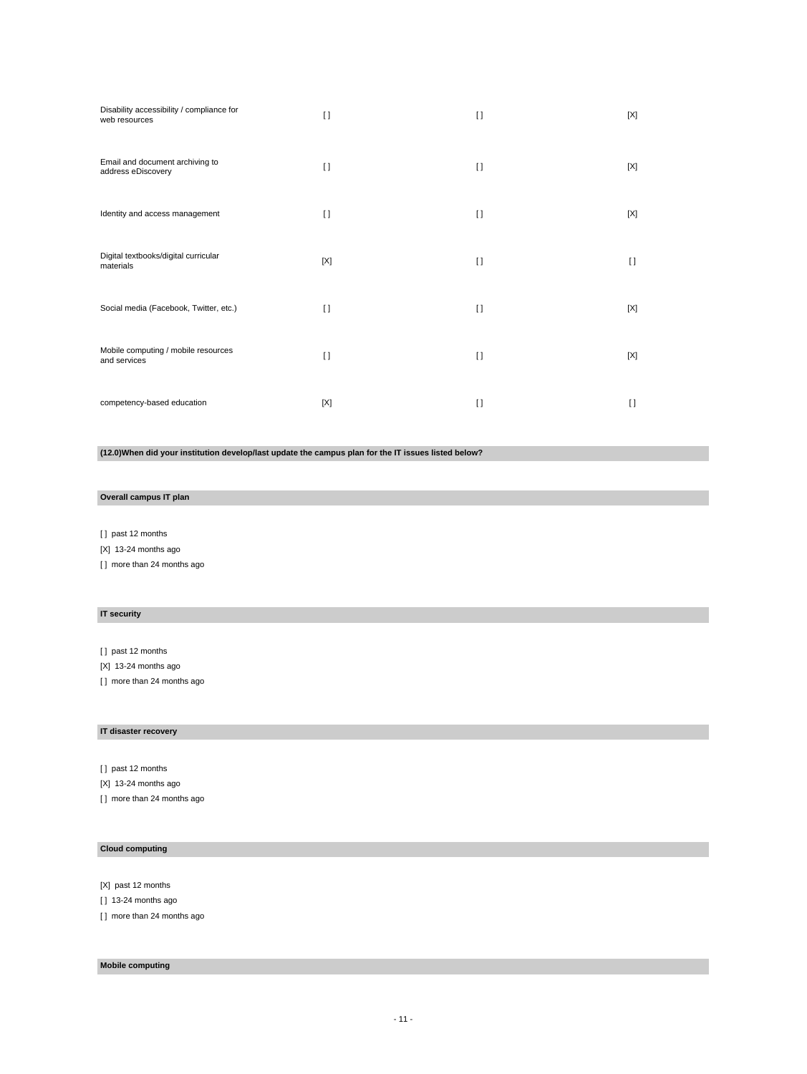| Disability accessibility / compliance for<br>web resources | $\Box$ | $\mathbf{I}$ | [X]    |
|------------------------------------------------------------|--------|--------------|--------|
| Email and document archiving to<br>address eDiscovery      | $\Box$ | $\Box$       | [X]    |
| Identity and access management                             | $\Box$ | $\Box$       | [X]    |
| Digital textbooks/digital curricular<br>materials          | [X]    | $\Box$       | $\Box$ |
| Social media (Facebook, Twitter, etc.)                     | $\Box$ | $\Box$       | [X]    |
| Mobile computing / mobile resources<br>and services        | $\Box$ | $\Box$       | [X]    |
| competency-based education                                 | [X]    | $\mathbf{I}$ | $\Box$ |

**(12.0)When did your institution develop/last update the campus plan for the IT issues listed below?**

### **Overall campus IT plan**

[ ] past 12 months

[X] 13-24 months ago

[] more than 24 months ago

# **IT security**

[ ] past 12 months

[X] 13-24 months ago

[ ] more than 24 months ago

# **IT disaster recovery**

[ ] past 12 months [X] 13-24 months ago [ ] more than 24 months ago

### **Cloud computing**

[X] past 12 months

[ ] 13-24 months ago

[ ] more than 24 months ago

# **Mobile computing**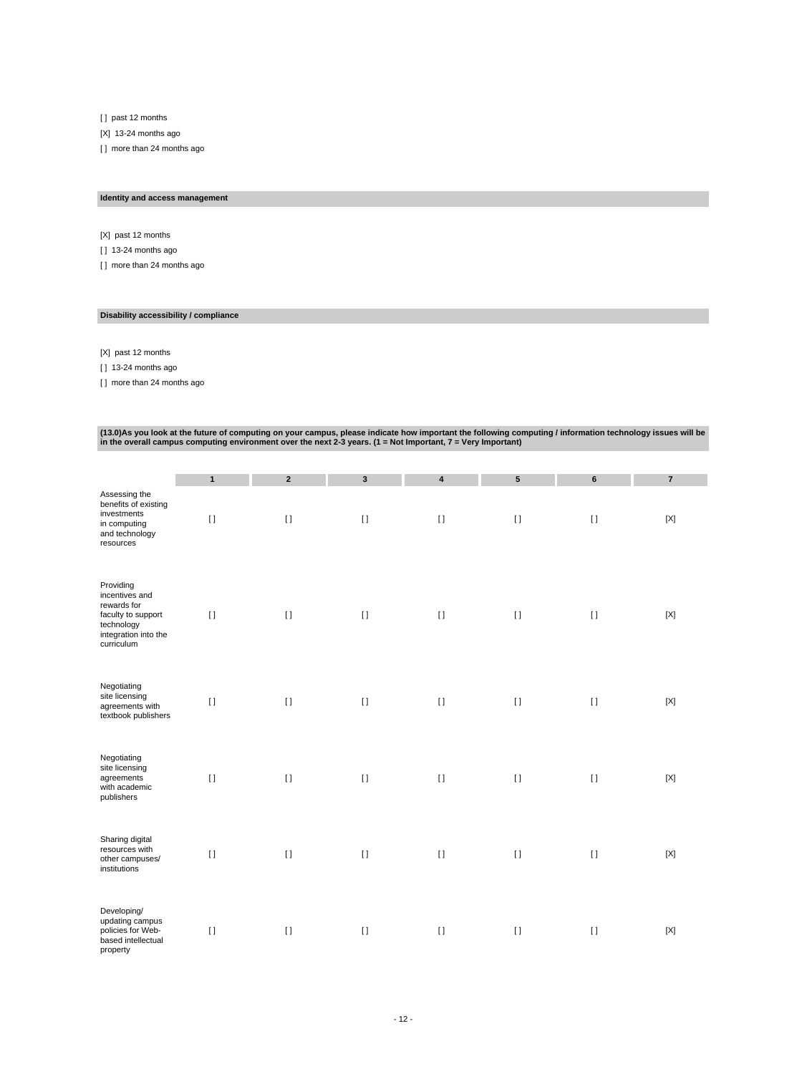[ ] past 12 months

[X] 13-24 months ago

[ ] more than 24 months ago

# **Identity and access management**

[X] past 12 months

[ ] 13-24 months ago

[ ] more than 24 months ago

### **Disability accessibility / compliance**

[X] past 12 months

[ ] 13-24 months ago

[] more than 24 months ago

# (13.0)As you look at the future of computing on your campus, please indicate how important the following computing / information technology issues will be<br>in the overall campus computing environment over the next 2-3 years

|                                                                                                                      | $\mathbf{1}$ | $\overline{2}$ | $\mathbf{3}$ | 4                        | $5\phantom{.0}$ | 6       | $\overline{7}$ |
|----------------------------------------------------------------------------------------------------------------------|--------------|----------------|--------------|--------------------------|-----------------|---------|----------------|
| Assessing the<br>benefits of existing<br>investments<br>in computing<br>and technology<br>resources                  | $[ \ ]$      | $[ \; ]$       | $[ \; ]$     | $[1]$                    | $[ \; ]$        | $[ \ ]$ | $[{\sf X}]$    |
| Providing<br>incentives and<br>rewards for<br>faculty to support<br>technology<br>integration into the<br>curriculum | $[ \ ]$      | $[ \ ]$        | $[ \ ]$      | $\Box$                   | $[ \ ]$         | $[ \ ]$ | $[{\sf X}]$    |
| Negotiating<br>site licensing<br>agreements with<br>textbook publishers                                              | $[ \ ]$      | $[ \ ]$        | $[ \ ]$      | $\Box$                   | $[ \ ]$         | $[ \ ]$ | $[{\sf X}]$    |
| Negotiating<br>site licensing<br>agreements<br>with academic<br>publishers                                           | $[ \ ]$      | $[ \ ]$        | $[ \; ]$     | $\mathop{\rm\textsf{1}}$ | $[ \ ]$         | $[ \ ]$ | $[{\sf X}]$    |
| Sharing digital<br>resources with<br>other campuses/<br>institutions                                                 | $[ \ ]$      | $\lceil$       | $[ \; ]$     | $[ \ ]$                  | $[ \ ]$         | $[ \ ]$ | [X]            |
| Developing/<br>updating campus<br>policies for Web-<br>based intellectual<br>property                                | $[ \ ]$      | $\lceil$       | $[ \; ]$     | $\lceil$                 | $[ \ ]$         | $[ \ ]$ | $[{\sf X}]$    |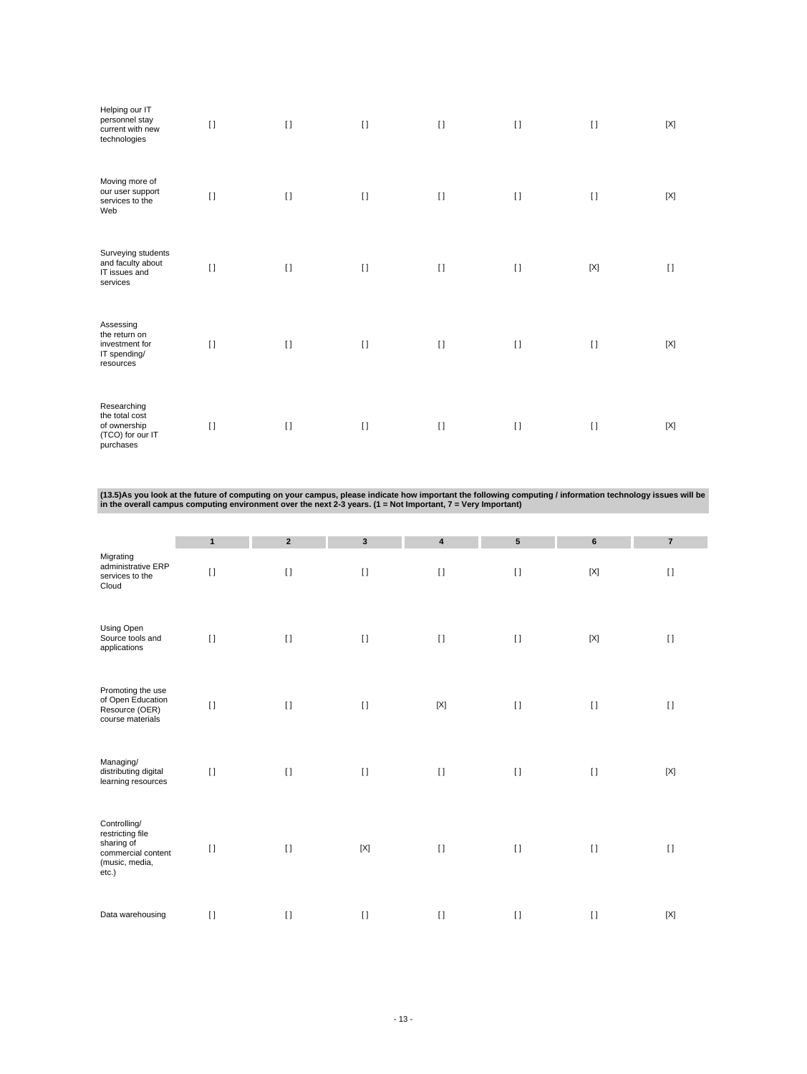| Helping our IT<br>personnel stay<br>current with new<br>technologies           | $\lceil$ | $\lceil$ | $[ \ ]$ | $[ \ ]$  | $[ \ ]$ | $[ \ ]$  | [X]    |
|--------------------------------------------------------------------------------|----------|----------|---------|----------|---------|----------|--------|
| Moving more of<br>our user support<br>services to the<br>Web                   | $[ \ ]$  | $\Box$   | $[ \ ]$ | $\lceil$ | $[ \ ]$ | $\lceil$ | [X]    |
| Surveying students<br>and faculty about<br>IT issues and<br>services           | $[ \ ]$  | $\lceil$ | $[ \ ]$ | $\Box$   | $[ \ ]$ | [X]      | $\Box$ |
| Assessing<br>the return on<br>investment for<br>IT spending/<br>resources      | $\Box$   | $\lceil$ | $[ \ ]$ | $[ \ ]$  | $[ \ ]$ | $[ \ ]$  | [X]    |
| Researching<br>the total cost<br>of ownership<br>(TCO) for our IT<br>purchases | $[ \ ]$  | $\lceil$ | $[ \ ]$ | $\Box$   | $\prod$ | $[ \ ]$  | [X]    |

(13.5)As you look at the future of computing on your campus, please indicate how important the following computing / information technology issues will be<br>in the overall campus computing environment over the next 2-3 years

|                                                                                                 | $\mathbf{1}$ | $\overline{2}$ | $\mathbf{3}$ | $\overline{\mathbf{4}}$ | ${\bf 5}$ | 6           | $\overline{7}$ |
|-------------------------------------------------------------------------------------------------|--------------|----------------|--------------|-------------------------|-----------|-------------|----------------|
| Migrating<br>administrative ERP<br>services to the<br>Cloud                                     | $\lceil$     | $\lceil$       | $[ \ ]$      | $[ \ ]$                 | $[ \ ]$   | $[{\sf X}]$ | $[ \ ]$        |
| Using Open<br>Source tools and<br>applications                                                  | $[ \ ]$      | $\lceil$       | $[ \; ]$     | $[ \; ]$                | $[ \ ]$   | $[{\sf X}]$ | $[ \ ]$        |
| Promoting the use<br>of Open Education<br>Resource (OER)<br>course materials                    | $[ \ ]$      | $\lceil$       | $[ \; ]$     | $[{\sf X}]$             | $[ \ ]$   | $[ \; ]$    | $[ \; ]$       |
| Managing/<br>distributing digital<br>learning resources                                         | $\mathbf{I}$ | $\lceil$       | $[ \ ]$      | $[ \; ]$                | $[ \ ]$   | $\lceil$    | $[{\sf X}]$    |
| Controlling/<br>restricting file<br>sharing of<br>commercial content<br>(music, media,<br>etc.) | $[ \ ]$      | $[ \ ]$        | $[{\sf X}]$  | $[ \ ]$                 | $[ \ ]$   | $\lceil$    | $[ \ ]$        |
| Data warehousing                                                                                | $[ \ ]$      | $\lceil$       | $\lceil$     | $[ \ ]$                 | $[ \ ]$   | $\lceil$    | $[{\sf X}]$    |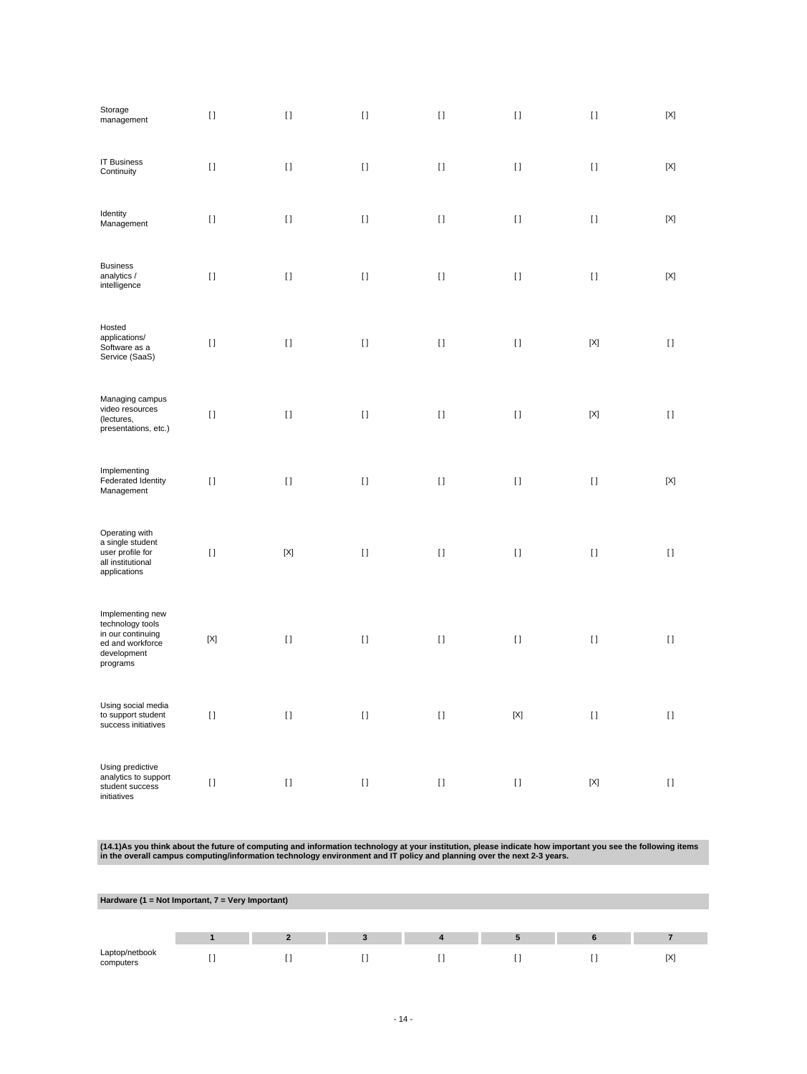| Storage<br>management                                                                                    | $[ \ ]$     | $[ \ ]$     | $[ \ ]$  | $[ \; ]$ | $[ \ ]$     | $[ \; ]$    | $[{\sf X}]$               |
|----------------------------------------------------------------------------------------------------------|-------------|-------------|----------|----------|-------------|-------------|---------------------------|
| <b>IT Business</b><br>Continuity                                                                         | $[ \; ]$    | $[ \; ]$    | $[ \; ]$ | $[ \; ]$ | $[ \; ]$    | $[ \; ]$    | $[{\sf X}]$               |
| Identity<br>Management                                                                                   | $[ \ ]$     | $[ \; ]$    | $[ \; ]$ | $[ \; ]$ | $[ \; ]$    | $[ \; ]$    | $[{\sf X}]$               |
| <b>Business</b><br>analytics /<br>intelligence                                                           | $[ \ ]$     | $[ \ ]$     | $[ \ ]$  | $[ \ ]$  | $[ \ ]$     | $[ \; ]$    | $\left[ \text{X} \right]$ |
| Hosted<br>applications/<br>Software as a<br>Service (SaaS)                                               | $[ \ ]$     | $[ \; ]$    | $[ \ ]$  | $[ \ ]$  | $[ \ ]$     | $[{\sf X}]$ | $[ \ ]$                   |
| Managing campus<br>video resources<br>(lectures,<br>presentations, etc.)                                 | $[ \; ]$    | $[ \; ]$    | $[ \; ]$ | $[ \; ]$ | $[ \ ]$     | $[{\sf X}]$ | $[ \ ]$                   |
| Implementing<br>Federated Identity<br>Management                                                         | $[ \ ]$     | $\lceil$    | $[ \ ]$  | $[ \ ]$  | $[ \ ]$     | $[ \ ]$     | $[{\sf X}]$               |
| Operating with<br>a single student<br>user profile for<br>all institutional<br>applications              | $[ \ ]$     | $[{\sf X}]$ | $[ \ ]$  | $[ \ ]$  | $[ \ ]$     | $[ \ ]$     | $[ \ ]$                   |
| Implementing new<br>technology tools<br>in our continuing<br>ed and workforce<br>development<br>programs | $[{\sf X}]$ | $[ \ ]$     | $[ \ ]$  | $[ \ ]$  | $[ \ ]$     | $[ \ ]$     | $[ \ ]$                   |
| Using social media<br>to support student<br>success initiatives                                          | $[ \ ]$     | $[ \ ]$     | $[ \ ]$  | $[ \ ]$  | $[{\sf X}]$ | $[ \ ]$     | $[ \ ]$                   |
| Using predictive<br>analytics to support<br>student success<br>initiatives                               | $[ \ ]$     | $[ \ ]$     | $[ \ ]$  | $[ \ ]$  | $[ \ ]$     | $[{\sf X}]$ | $[ \ ]$                   |

(14.1)As you think about the future of computing and information technology at your institution, please indicate how important you see the following items<br>in the overall campus computing/information technology environment

| Hardware (1 = Not Important, $7$ = Very Important) |  |  |  |  |  |  |     |  |  |
|----------------------------------------------------|--|--|--|--|--|--|-----|--|--|
|                                                    |  |  |  |  |  |  |     |  |  |
|                                                    |  |  |  |  |  |  |     |  |  |
| Laptop/netbook<br>computers                        |  |  |  |  |  |  | [X] |  |  |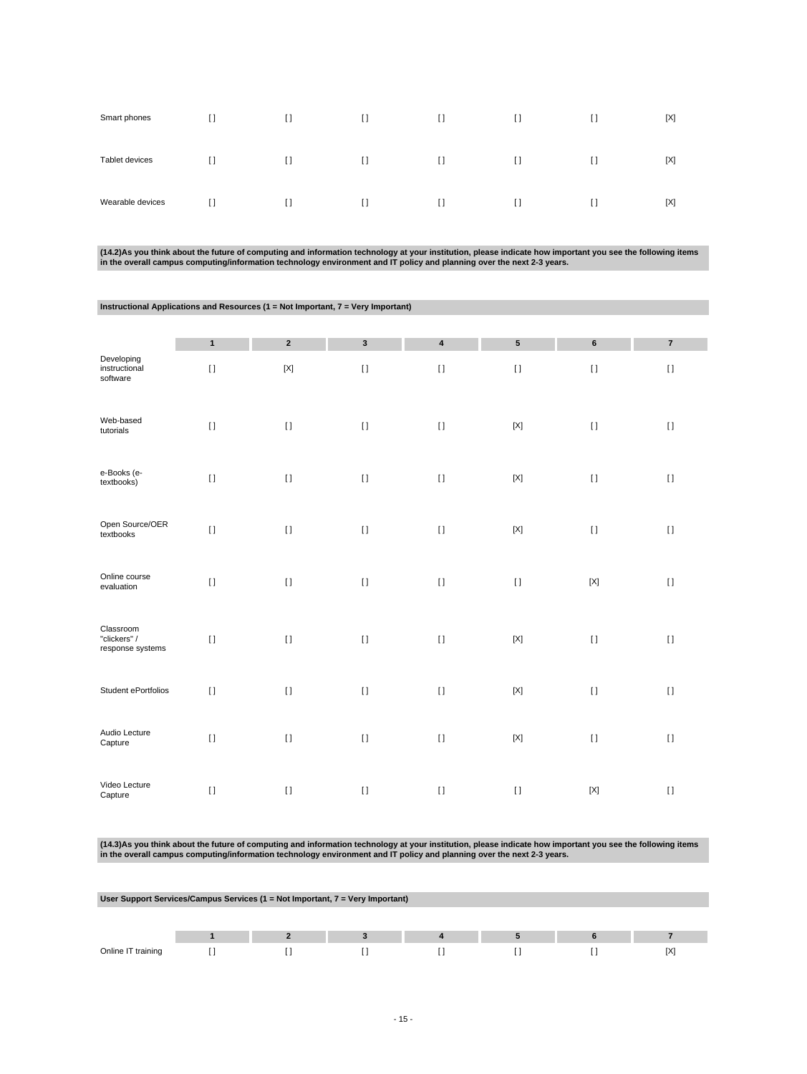| Smart phones     | $\Box$                                 | I.     | $\Box$ | $\Box$ | $\Box$ | I1     | [X] |
|------------------|----------------------------------------|--------|--------|--------|--------|--------|-----|
| Tablet devices   | $\Box$                                 | $\Box$ | $\Box$ | $\Box$ | $\Box$ | $\Box$ | [X] |
| Wearable devices | $\begin{array}{c} \square \end{array}$ | H.     | $\Box$ | $\Box$ | $\Box$ | II.    | [X] |

(14.2)As you think about the future of computing and information technology at your institution, please indicate how important you see the following items<br>in the overall campus computing/information technology environment

| Instructional Applications and Resources (1 = Not Important, 7 = Very Important) |              |             |             |                         |             |             |                |  |  |
|----------------------------------------------------------------------------------|--------------|-------------|-------------|-------------------------|-------------|-------------|----------------|--|--|
|                                                                                  |              |             |             |                         |             |             |                |  |  |
|                                                                                  | $\mathbf{1}$ | $\mathbf 2$ | $\mathbf 3$ | $\overline{\mathbf{4}}$ | ${\bf 5}$   | $\bf 6$     | $\overline{7}$ |  |  |
| Developing<br>instructional<br>software                                          | $[ \ ]$      | $[{\sf X}]$ | $[ \; ]$    | $[ \; ]$                | $[ \; ]$    | $[ \; ]$    | $[ \; ]$       |  |  |
| Web-based<br>tutorials                                                           | $[ \ ]$      | $[ \; ]$    | $[ \; ]$    | $[ \; ]$                | $[{\sf X}]$ | $[ \; ]$    | $[ \; ]$       |  |  |
| e-Books (e-<br>textbooks)                                                        | $[ \ ]$      | $[ \; ]$    | $[ \ ]$     | $\lceil$                | $[{\sf X}]$ | $[ \ ]$     | $[ \ ]$        |  |  |
| Open Source/OER<br>textbooks                                                     | $[ \ ]$      | $[ \; ]$    | $[ \ ]$     | $[ \; ]$                | $[{\sf X}]$ | $[ \; ]$    | $\lceil$       |  |  |
| Online course<br>evaluation                                                      | $[ \ ]$      | $[ \ ]$     | $[ \; ]$    | $[ \; ]$                | $[ \; ]$    | $[{\sf X}]$ | $[ \; ]$       |  |  |
| Classroom<br>"clickers" /<br>response systems                                    | $\mathbf{I}$ | $[ \ ]$     | $[ \ ]$     | $[1]$                   | $[{\sf X}]$ | $[ \; ]$    | $\lceil$       |  |  |
| Student ePortfolios                                                              | $[ \; ]$     | $[ \ ]$     | $[ \ ]$     | $[ \ ]$                 | $[{\sf X}]$ | $[ \; ]$    | $\mathbf{I}$   |  |  |
| Audio Lecture<br>Capture                                                         | $[ \ ]$      | $[ \ ]$     | $[ \ ]$     | $[ \; ]$                | $[{\sf X}]$ | $[ \ ]$     | $[ \ ]$        |  |  |
| Video Lecture<br>Capture                                                         | $[ \ ]$      | $[ \; ]$    | $[ \ ]$     | $[ \ ]$                 | $[ \ ]$     | $[{\sf X}]$ | $[ \ ]$        |  |  |

(14.3)As you think about the future of computing and information technology at your institution, please indicate how important you see the following items<br>in the overall campus computing/information technology environment

|                    | User Support Services/Campus Services (1 = Not Important, 7 = Very Important) |  |  |  |  |  |    |  |  |  |
|--------------------|-------------------------------------------------------------------------------|--|--|--|--|--|----|--|--|--|
|                    |                                                                               |  |  |  |  |  |    |  |  |  |
|                    |                                                                               |  |  |  |  |  |    |  |  |  |
| Online IT training |                                                                               |  |  |  |  |  | ſХ |  |  |  |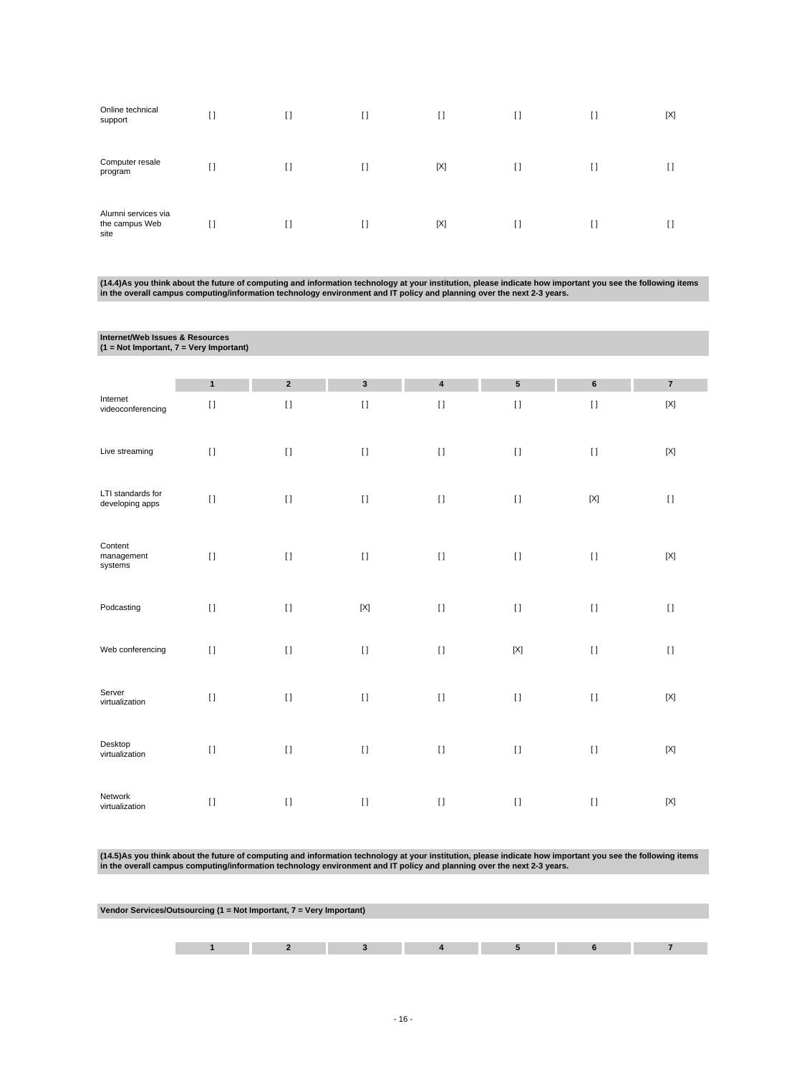| Online technical<br>support                   | I) | $[ \ ]$      | I) | $\Box$ | I)      | I) | [X] |
|-----------------------------------------------|----|--------------|----|--------|---------|----|-----|
| Computer resale<br>program                    | [] | $\mathbf{I}$ | I) | [X]    | $[ \ ]$ | H  |     |
| Alumni services via<br>the campus Web<br>site | H  | H            | I1 | [X]    | $\Box$  | U  |     |

(14.4)As you think about the future of computing and information technology at your institution, please indicate how important you see the following items<br>in the overall campus computing/information technology environment

| Internet/Web Issues & Resources<br>$(1 = Not Important, 7 = Very Important)$ |              |                  |              |              |             |             |                         |
|------------------------------------------------------------------------------|--------------|------------------|--------------|--------------|-------------|-------------|-------------------------|
|                                                                              |              |                  |              |              |             |             |                         |
|                                                                              | $\mathbf{1}$ | $\boldsymbol{2}$ | $\mathbf{3}$ | $\pmb{4}$    | ${\bf 5}$   | $\bf 6$     | $\overline{\mathbf{7}}$ |
| Internet<br>videoconferencing                                                | $[ \ ]$      | $[ \ ]$          | $[ \; ]$     | $[ \ ]$      | $[ \; ]$    | $[ \ ]$     | $[{\sf X}]$             |
| Live streaming                                                               | $[ \ ]$      | $\lceil$         | $[ \ ]$      | $\mathbf{I}$ | $[ \ ]$     | $[ \ ]$     | $[{\sf X}]$             |
| LTI standards for<br>developing apps                                         | $\mathbf{I}$ | $[ \; ]$         | $[ \; ]$     | $[ \; ]$     | $[ \; ]$    | $[{\sf X}]$ | $[ \ ]$                 |
| Content<br>management<br>systems                                             | $[ \; ]$     | $[ \ ]$          | $[ \; ]$     | $[ \; ]$     | $[ \; ]$    | $[ \ ]$     | $[{\sf X}]$             |
| Podcasting                                                                   | $[ \ ]$      | $[ \ ]$          | $[{\sf X}]$  | $[ \; ]$     | $[ \ ]$     | $[ \ ]$     | $[ \; ]$                |
| Web conferencing                                                             | $[ \ ]$      | $[ \; ]$         | $[ \; ]$     | $[1]$        | $[{\sf X}]$ | $[ \; ]$    | $[ \; ]$                |
| Server<br>virtualization                                                     | $[ \ ]$      | $[ \ ]$          | $[ \ ]$      | $\mathbf{I}$ | $[ \ ]$     | $[ \ ]$     | $[{\sf X}]$             |
| Desktop<br>virtualization                                                    | $[ \ ]$      | $[ \ ]$          | $[ \ ]$      | $\lceil$     | $[ \ ]$     | $[ \ ]$     | $[{\sf X}]$             |
| Network<br>virtualization                                                    | $[ \ ]$      | $[ \ ]$          | $[ \ ]$      | $\lceil$     | $[ \ ]$     | $[ \ ]$     | $[{\sf X}]$             |

(14.5)As you think about the future of computing and information technology at your institution, please indicate how important you see the following items<br>in the overall campus computing/information technology environment

| Vendor Services/Outsourcing (1 = Not Important, 7 = Very Important) |  |  |  |  |  |  |  |
|---------------------------------------------------------------------|--|--|--|--|--|--|--|
|                                                                     |  |  |  |  |  |  |  |
|                                                                     |  |  |  |  |  |  |  |
|                                                                     |  |  |  |  |  |  |  |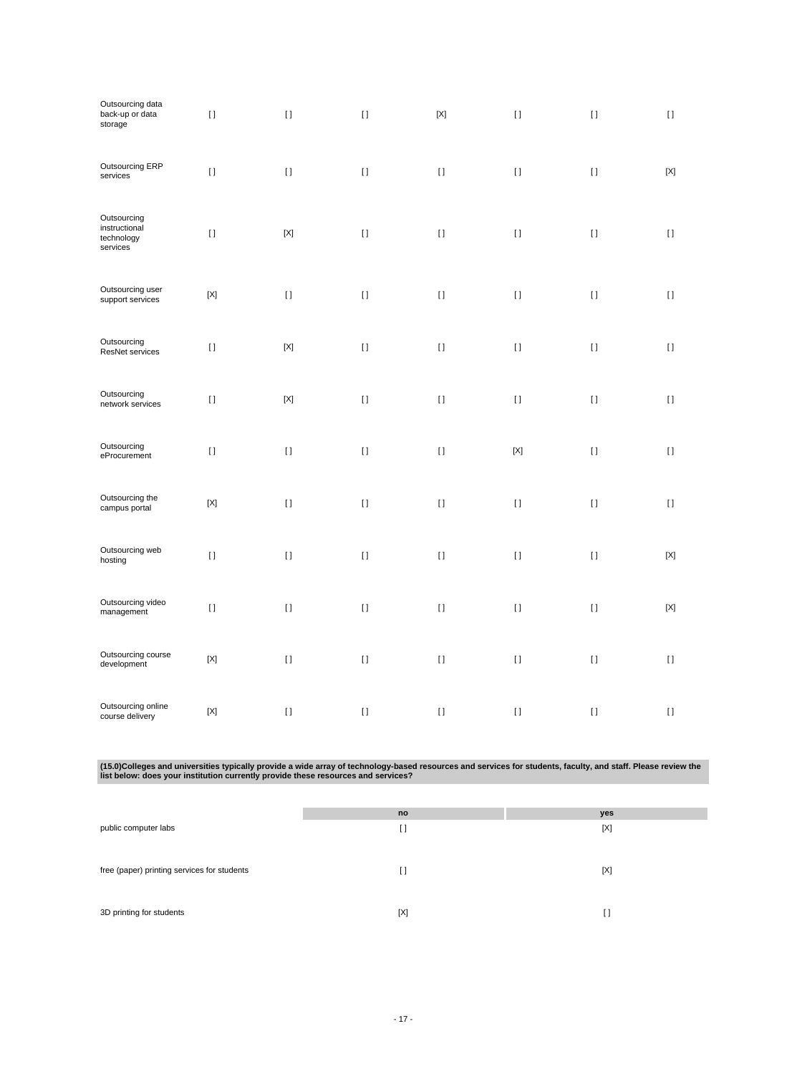| Outsourcing data<br>back-up or data<br>storage         | $[ \; ]$    | $[ \; ]$    | $[ \; ]$ | $[{\sf X}]$  | $[ \; ]$    | $[ \; ]$ | $[ \ ]$            |
|--------------------------------------------------------|-------------|-------------|----------|--------------|-------------|----------|--------------------|
| Outsourcing ERP<br>services                            | $[ \ ]$     | $[ \ ]$     | $[ \; ]$ | $[ \; ]$     | $[ \; ]$    | $[ \; ]$ | $[{\sf X}]$        |
| Outsourcing<br>instructional<br>technology<br>services | $[ \; ]$    | $[{\sf X}]$ | $[ \; ]$ | $[ \; ]$     | $[ \; ]$    | $[ \; ]$ | $[ \ ]$            |
| Outsourcing user<br>support services                   | $[{\sf X}]$ | $[ \; ]$    | $[ \ ]$  | $[ \; ]$     | $[ \ ]$     | $[ \ ]$  | $[ \ ]$            |
| Outsourcing<br>ResNet services                         | $[ \ ]$     | $[{\sf X}]$ | $[ \ ]$  | $[ \ ]$      | $[ \; ]$    | $[ \ ]$  | $[ \ ]$            |
| Outsourcing<br>network services                        | $[ \ ]$     | $[{\sf X}]$ | $[ \ ]$  | $[ \ ]$      | $[ \; ]$    | $[ \; ]$ | $[ \ ]$            |
| Outsourcing<br>eProcurement                            | $[ \; ]$    | $[ \ ]$     | $[ \ ]$  | $[ \, ]$     | $[{\sf X}]$ | $[ \ ]$  | $\left[ \ \right]$ |
| Outsourcing the<br>campus portal                       | $[{\sf X}]$ | $[ \ ]$     | $[ \; ]$ | $[ \; ]$     | $[ \; ]$    | $[ \; ]$ | $[ \ ]$            |
| Outsourcing web<br>hosting                             | $[ \ ]$     | $[ \ ]$     | $[ \ ]$  | $[ \; ]$     | $[ \; ]$    | $[ \; ]$ | $[{\sf X}]$        |
| Outsourcing video<br>management                        | $[ \; ]$    | $[ \ ]$     | $[ \; ]$ | $[ \; ]$     | $[ \; ]$    | $[ \; ]$ | $[{\sf X}]$        |
| Outsourcing course<br>development                      | $[{\sf X}]$ | $[ \ ]$     | $[ \ ]$  | $\rm II$     | $[ \, ]$    | $[ \; ]$ | $[ \ ]$            |
| Outsourcing online<br>course delivery                  | $[{\sf X}]$ | $[ \; ]$    | $[ \ ]$  | $\mathbf{I}$ | $[ \ ]$     | $[ \ ]$  | $[ \ ]$            |

(15.0)Colleges and universities typically provide a wide array of technology-based resources and services for students, faculty, and staff. Please review the<br>Iist below: does your institution currently provide these resour

|                                             | no     | yes    |
|---------------------------------------------|--------|--------|
| public computer labs                        | $\Box$ | [X]    |
|                                             |        |        |
| free (paper) printing services for students | $\Box$ | [X]    |
|                                             |        |        |
|                                             |        |        |
| 3D printing for students                    | [X]    | $\Box$ |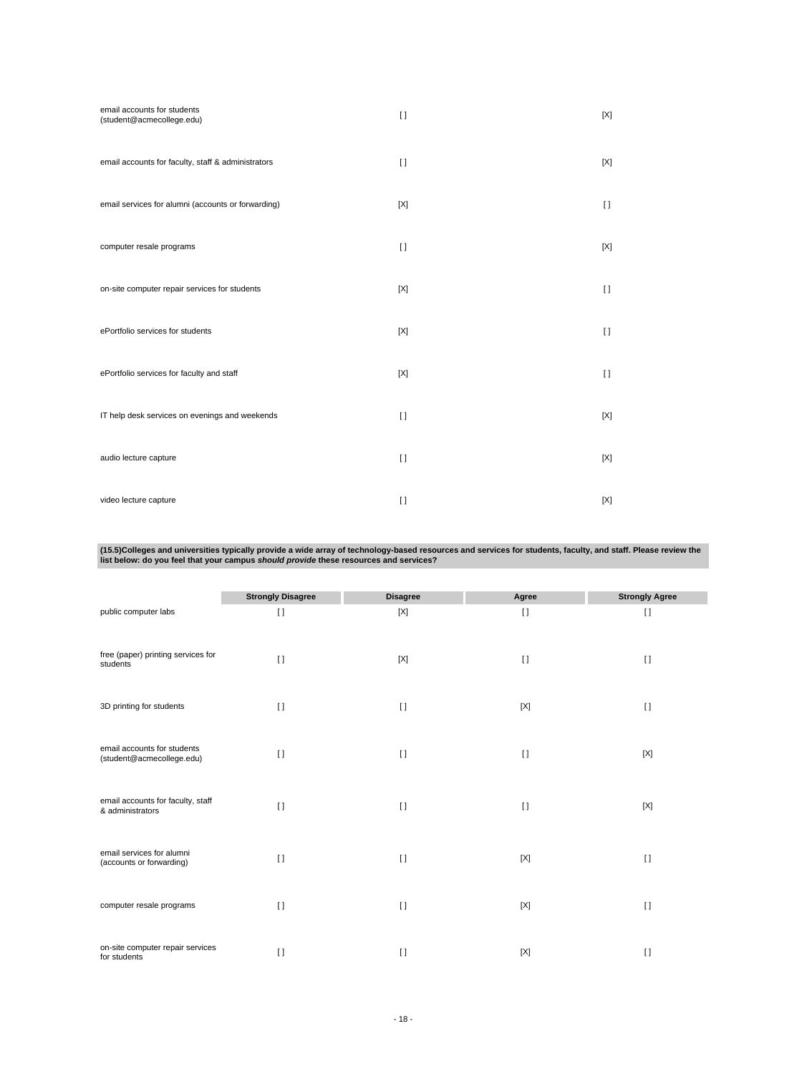| email accounts for students<br>(student@acmecollege.edu) | $\lceil$     | [X]     |
|----------------------------------------------------------|--------------|---------|
| email accounts for faculty, staff & administrators       | $\Box$       | [X]     |
| email services for alumni (accounts or forwarding)       | [X]          | $[ \ ]$ |
| computer resale programs                                 | $\Box$       | [X]     |
| on-site computer repair services for students            | [X]          | $\Box$  |
| ePortfolio services for students                         | [X]          | $[ \ ]$ |
| ePortfolio services for faculty and staff                | [X]          | $\Box$  |
| IT help desk services on evenings and weekends           | $\lceil$     | [X]     |
| audio lecture capture                                    | $\lceil$     | [X]     |
| video lecture capture                                    | $\mathbf{I}$ | [X]     |

(15.5)Colleges and universities typically provide a wide array of technology-based resources and services for students, faculty, and staff. Please review the<br>Iist below: do you feel that your campus *should provide* these

|                                                          | <b>Strongly Disagree</b> | <b>Disagree</b> | Agree       | <b>Strongly Agree</b> |
|----------------------------------------------------------|--------------------------|-----------------|-------------|-----------------------|
| public computer labs                                     | $[ \ ]$                  | $[{\sf X}]$     | $[ \ ]$     | $[ \ ]$               |
| free (paper) printing services for<br>students           | $\Box$                   | [X]             | $\Box$      | $\lceil$              |
| 3D printing for students                                 | $\lceil$                 | $\lceil$        | $[{\sf X}]$ | $\lceil$              |
| email accounts for students<br>(student@acmecollege.edu) | $\lceil$                 | $\Box$          | $[ \ ]$     | [X]                   |
| email accounts for faculty, staff<br>& administrators    | $\lceil$                 | $\lceil$        | $\lceil$    | [X]                   |
| email services for alumni<br>(accounts or forwarding)    | $\Box$                   | $\Box$          | [X]         | $\mathbf{I}$          |
| computer resale programs                                 | $\lceil$                 | $\Box$          | [X]         | $[ \ ]$               |
| on-site computer repair services<br>for students         | $\Box$                   | $\Box$          | [X]         | $\Box$                |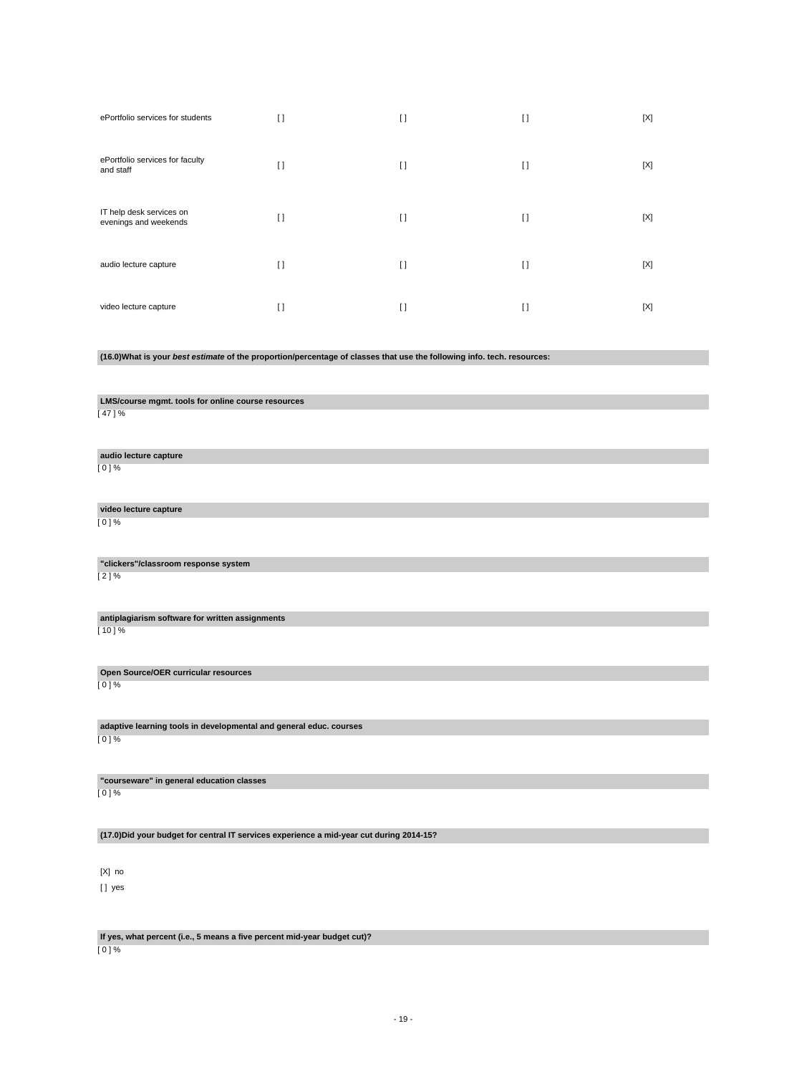| ePortfolio services for students                  | $\Box$  | $\lceil$       | $[ ]$   | [X] |
|---------------------------------------------------|---------|----------------|---------|-----|
| ePortfolio services for faculty<br>and staff      | $\Box$  | $\Box$         | $[ \ ]$ | [X] |
| IT help desk services on<br>evenings and weekends | $[ \ ]$ | $\mathfrak{g}$ | $[ ]$   | [X] |
| audio lecture capture                             | $\Box$  | $\Box$         | $\Box$  | [X] |
| video lecture capture                             | $\Box$  | $\Box$         | $\Box$  | [X] |

# **(16.0)What is your best estimate of the proportion/percentage of classes that use the following info. tech. resources:**

**LMS/course mgmt. tools for online course resources**

[ 47 ] %

**audio lecture capture** [ 0 ] %

**video lecture capture** [ 0 ] %

**"clickers"/classroom response system**

[ 2 ] %

**antiplagiarism software for written assignments**  $[10] \%$ 

**Open Source/OER curricular resources**

[ 0 ] %

**adaptive learning tools in developmental and general educ. courses** [ 0 ] %

**"courseware" in general education classes** [ 0 ] %

**(17.0)Did your budget for central IT services experience a mid-year cut during 2014-15?**

[X] no [] yes

**If yes, what percent (i.e., 5 means a five percent mid-year budget cut)?**

[ 0 ] %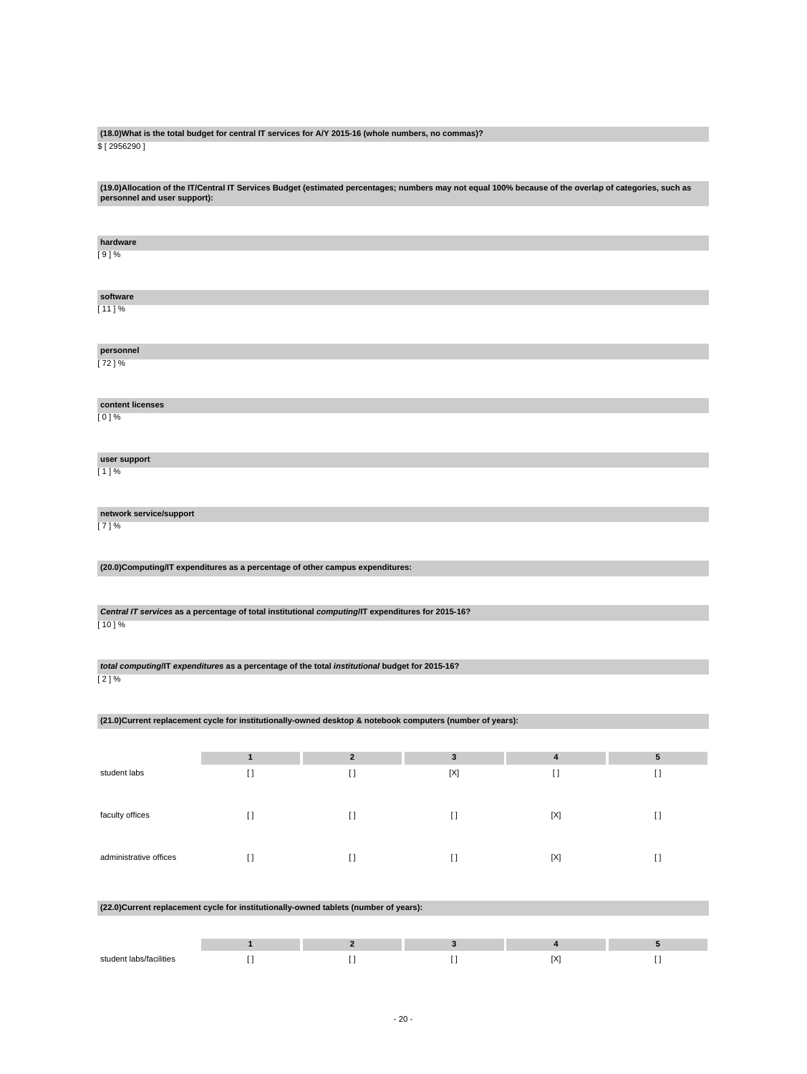### **(18.0)What is the total budget for central IT services for A/Y 2015-16 (whole numbers, no commas)?** \$ [ 2956290 ]

**(19.0)Allocation of the IT/Central IT Services Budget (estimated percentages; numbers may not equal 100% because of the overlap of categories, such as personnel and user support):**

| hardware                |                                                                                                           |                         |              |             |            |
|-------------------------|-----------------------------------------------------------------------------------------------------------|-------------------------|--------------|-------------|------------|
| $[9]$ %                 |                                                                                                           |                         |              |             |            |
|                         |                                                                                                           |                         |              |             |            |
|                         |                                                                                                           |                         |              |             |            |
|                         |                                                                                                           |                         |              |             |            |
| software                |                                                                                                           |                         |              |             |            |
| $[11]$ %                |                                                                                                           |                         |              |             |            |
|                         |                                                                                                           |                         |              |             |            |
|                         |                                                                                                           |                         |              |             |            |
|                         |                                                                                                           |                         |              |             |            |
| personnel               |                                                                                                           |                         |              |             |            |
| [72]%                   |                                                                                                           |                         |              |             |            |
|                         |                                                                                                           |                         |              |             |            |
|                         |                                                                                                           |                         |              |             |            |
| content licenses        |                                                                                                           |                         |              |             |            |
|                         |                                                                                                           |                         |              |             |            |
| $[0]$ %                 |                                                                                                           |                         |              |             |            |
|                         |                                                                                                           |                         |              |             |            |
|                         |                                                                                                           |                         |              |             |            |
| user support            |                                                                                                           |                         |              |             |            |
| $[1]$ %                 |                                                                                                           |                         |              |             |            |
|                         |                                                                                                           |                         |              |             |            |
|                         |                                                                                                           |                         |              |             |            |
|                         |                                                                                                           |                         |              |             |            |
| network service/support |                                                                                                           |                         |              |             |            |
| [7]%                    |                                                                                                           |                         |              |             |            |
|                         |                                                                                                           |                         |              |             |            |
|                         |                                                                                                           |                         |              |             |            |
|                         |                                                                                                           |                         |              |             |            |
|                         | (20.0) Computing/IT expenditures as a percentage of other campus expenditures:                            |                         |              |             |            |
|                         |                                                                                                           |                         |              |             |            |
|                         |                                                                                                           |                         |              |             |            |
|                         |                                                                                                           |                         |              |             |            |
|                         | Central IT services as a percentage of total institutional computing/IT expenditures for 2015-16?         |                         |              |             |            |
| [10]%                   |                                                                                                           |                         |              |             |            |
|                         |                                                                                                           |                         |              |             |            |
|                         |                                                                                                           |                         |              |             |            |
|                         |                                                                                                           |                         |              |             |            |
|                         | total computing/IT expenditures as a percentage of the total institutional budget for 2015-16?            |                         |              |             |            |
| [2]%                    |                                                                                                           |                         |              |             |            |
|                         |                                                                                                           |                         |              |             |            |
|                         |                                                                                                           |                         |              |             |            |
|                         |                                                                                                           |                         |              |             |            |
|                         | (21.0)Current replacement cycle for institutionally-owned desktop & notebook computers (number of years): |                         |              |             |            |
|                         |                                                                                                           |                         |              |             |            |
|                         |                                                                                                           |                         |              |             |            |
|                         | $\mathbf{1}$                                                                                              | $\overline{2}$          | $\mathbf{3}$ | $\pmb{4}$   | $\sqrt{5}$ |
| student labs            | $\lceil$                                                                                                  | $\lceil$                | [X]          | $[ \ ]$     | $\lceil$   |
|                         |                                                                                                           |                         |              |             |            |
|                         |                                                                                                           |                         |              |             |            |
|                         |                                                                                                           |                         |              |             |            |
| faculty offices         | $[ \ ]$                                                                                                   | $[ \; ]$                | $[ \; ]$     | [X]         | $[ \; ]$   |
|                         |                                                                                                           |                         |              |             |            |
|                         |                                                                                                           |                         |              |             |            |
|                         |                                                                                                           |                         |              |             |            |
| administrative offices  | $[ \ ]$                                                                                                   | $[ \ ]$                 | $[ \; ]$     | $[{\sf X}]$ | $[ \ ]$    |
|                         |                                                                                                           |                         |              |             |            |
|                         |                                                                                                           |                         |              |             |            |
|                         |                                                                                                           |                         |              |             |            |
|                         |                                                                                                           |                         |              |             |            |
|                         |                                                                                                           |                         |              |             |            |
|                         | (22.0) Current replacement cycle for institutionally-owned tablets (number of years):                     |                         |              |             |            |
|                         |                                                                                                           |                         |              |             |            |
|                         |                                                                                                           |                         |              |             |            |
|                         | $\mathbf{1}$                                                                                              | $\overline{\mathbf{2}}$ | $\mathbf 3$  | $\pmb{4}$   | 5          |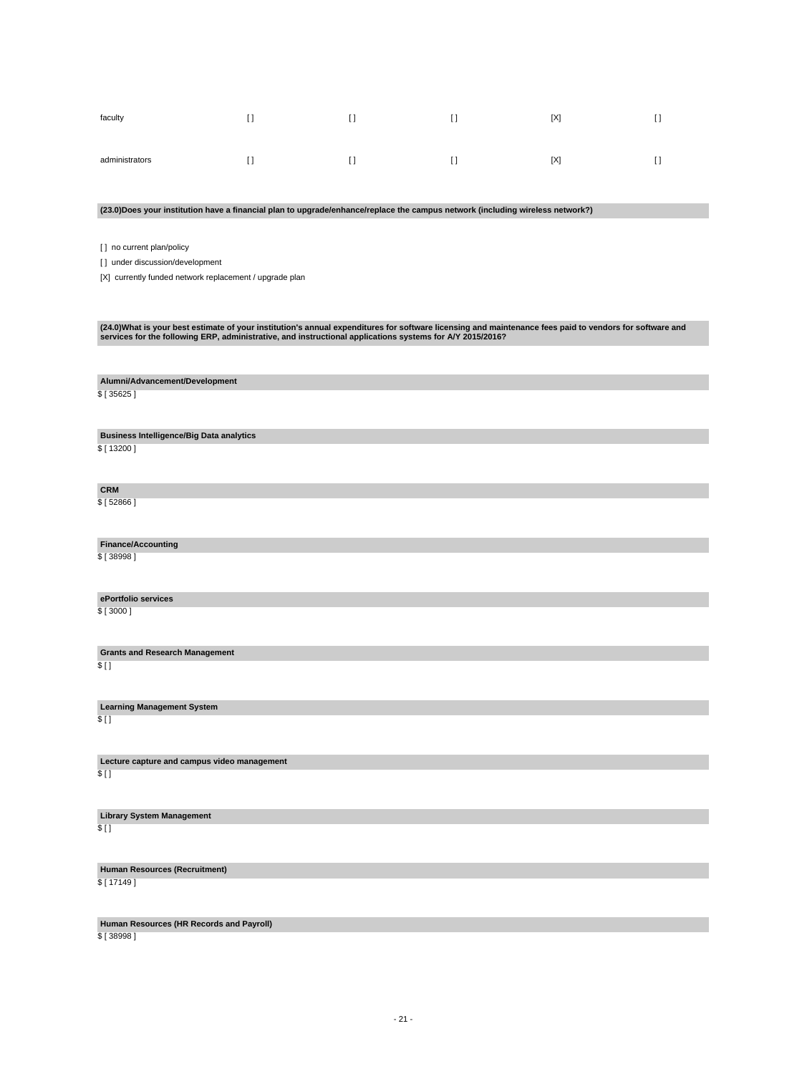| faculty        |  | [X] | r 1<br>. . |
|----------------|--|-----|------------|
| administrators |  | [X] | . .        |

### **(23.0)Does your institution have a financial plan to upgrade/enhance/replace the campus network (including wireless network?)**

[ ] no current plan/policy

[] under discussion/development

[X] currently funded network replacement / upgrade plan

# (24.0)What is your best estimate of your institution's annual expenditures for software licensing and maintenance fees paid to vendors for software and<br>services for the following ERP, administrative, and instructional appl

**Alumni/Advancement/Development**

\$ [ 35625 ]

**Business Intelligence/Big Data analytics**

\$ [ 13200 ]

**CRM** \$ [ 52866 ]

**Finance/Accounting** \$ [ 38998 ]

**ePortfolio services**

\$ [ 3000 ]

**Grants and Research Management** \$ [ ]

**Learning Management System**  $$$  [ ]

**Lecture capture and campus video management**  $$$  [ ]

**Library System Management** \$ [ ]

**Human Resources (Recruitment)** \$ [ 17149 ]

**Human Resources (HR Records and Payroll)** \$ [ 38998 ]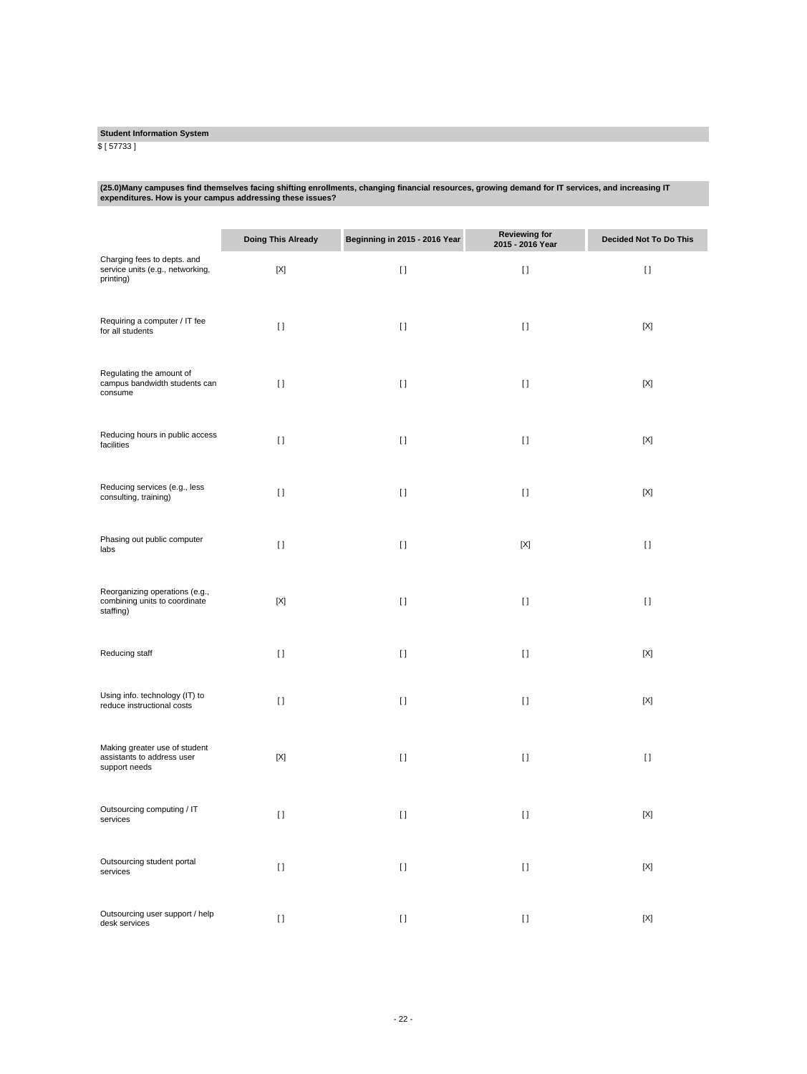# **Student Information System**

\$ [ 57733 ]

# **(25.0)Many campuses find themselves facing shifting enrollments, changing financial resources, growing demand for IT services, and increasing IT expenditures. How is your campus addressing these issues?**

|                                                                              | <b>Doing This Already</b> | Beginning in 2015 - 2016 Year | <b>Reviewing for</b><br>2015 - 2016 Year | <b>Decided Not To Do This</b> |
|------------------------------------------------------------------------------|---------------------------|-------------------------------|------------------------------------------|-------------------------------|
| Charging fees to depts. and<br>service units (e.g., networking,<br>printing) | $[{\sf X}]$               | $[ \ ]$                       | $[ \; ]$                                 | $\lceil$                      |
| Requiring a computer / IT fee<br>for all students                            | $[ \ ]$                   | $[ \ ]$                       | $[ \ ]$                                  | [X]                           |
| Regulating the amount of<br>campus bandwidth students can<br>consume         | $[ \ ]$                   | $[ \ ]$                       | $[ \ ]$                                  | [X]                           |
| Reducing hours in public access<br>facilities                                | $[ \ ]$                   | $[ \ ]$                       | $[ \ ]$                                  | $[{\sf X}]$                   |
| Reducing services (e.g., less<br>consulting, training)                       | $[ \ ]$                   | $[ \ ]$                       | $[ \ ]$                                  | $[{\sf X}]$                   |
| Phasing out public computer<br>labs                                          | $[ \ ]$                   | $[ \ ]$                       | $[{\sf X}]$                              | $[ \ ]$                       |
| Reorganizing operations (e.g.,<br>combining units to coordinate<br>staffing) | $[{\sf X}]$               | $[ \ ]$                       | $[ \ ]$                                  | $\lceil$                      |
| Reducing staff                                                               | $[ \ ]$                   | $\lceil$                      | $[ \ ]$                                  | $[{\sf X}]$                   |
| Using info. technology (IT) to<br>reduce instructional costs                 | $[ \ ]$                   | $[ \ ]$                       | $[ \ ]$                                  | $[{\sf X}]$                   |
| Making greater use of student<br>assistants to address user<br>support needs | $[{\sf X}]$               | $\lceil$                      | $[ \; ]$                                 | $\lceil$                      |
| Outsourcing computing / IT<br>services                                       | $[ \ ]$                   | $[ \ ]$                       | $[ \, ]$                                 | [X]                           |
| Outsourcing student portal<br>services                                       | $[ \ ]$                   | $[ \; ]$                      | $[ \, ]$                                 | $[{\sf X}]$                   |
| Outsourcing user support / help<br>desk services                             | $[ \ ]$                   | $[ \ ]$                       | $[ \ ]$                                  | [X]                           |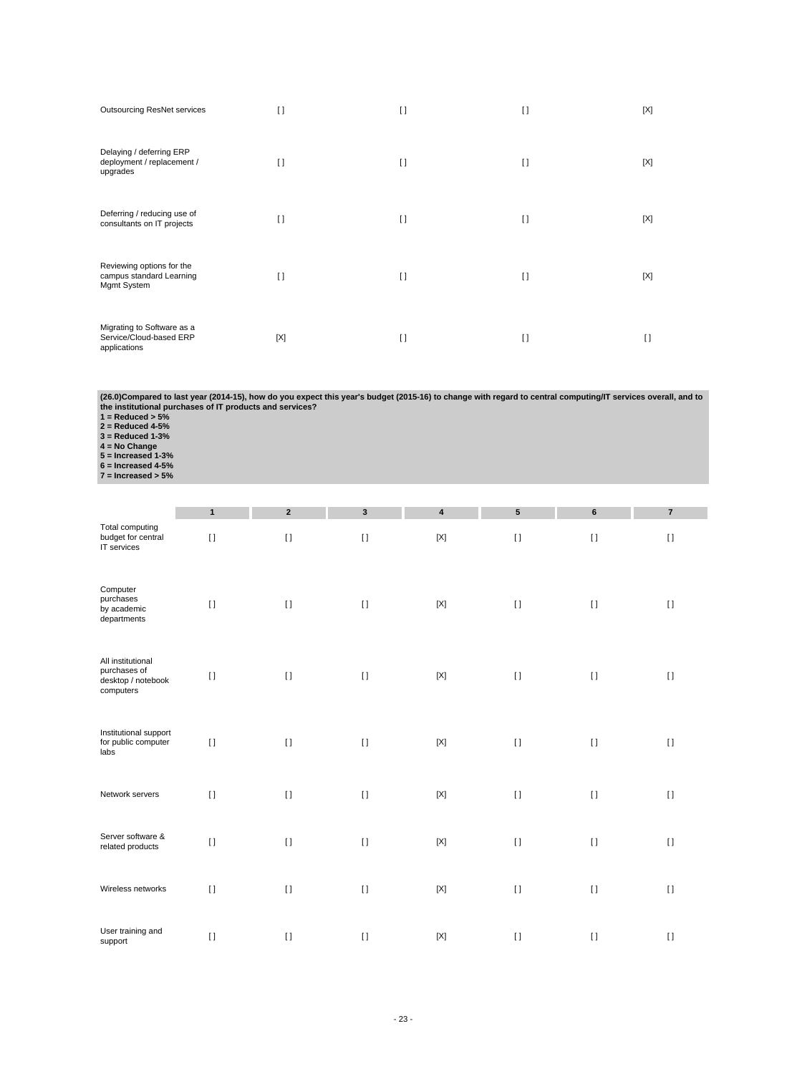| <b>Outsourcing ResNet services</b>                                    | I)     | I)     | $[ \ ]$ | [X] |
|-----------------------------------------------------------------------|--------|--------|---------|-----|
| Delaying / deferring ERP<br>deployment / replacement /<br>upgrades    | $\Box$ | $\Box$ | $\Box$  | [X] |
| Deferring / reducing use of<br>consultants on IT projects             | H      | H      | $\Box$  | [X] |
| Reviewing options for the<br>campus standard Learning<br>Mgmt System  | $\Box$ | $\Box$ | $\Box$  | [X] |
| Migrating to Software as a<br>Service/Cloud-based ERP<br>applications | [X]    | I1     | $\Box$  | I)  |

(26.0)Compared to last year (2014-15), how do you expect this year's budget (2015-16) to change with regard to central computing/IT services overall, and to<br>the institutional purchases of IT products and services?<br>1 = Redu

- 
- 
- 
- 
- 
- 

|                                                                      | $\mathbf{1}$ | $\overline{2}$ | $\mathbf{3}$ | 4           | $5\phantom{.0}$ | 6                                      | $\overline{7}$ |
|----------------------------------------------------------------------|--------------|----------------|--------------|-------------|-----------------|----------------------------------------|----------------|
| Total computing<br>budget for central<br>IT services                 | $[ \ ]$      | $[ \ ]$        | $[ \ ]$      | $[{\sf X}]$ | $[ \; ]$        | $\begin{array}{c} \square \end{array}$ | $[ \ ]$        |
| Computer<br>purchases<br>by academic<br>departments                  | $[ \ ]$      | $[ \ ]$        | $[ \; ]$     | $[{\sf X}]$ | $[ \; ]$        | $[ \ ]$                                | $[ \ ]$        |
| All institutional<br>purchases of<br>desktop / notebook<br>computers | $[ \; ]$     | $[ \ ]$        | $[ \ ]$      | $[{\sf X}]$ | $[ \ ]$         | $[ \ ]$                                | $[ \ ]$        |
| Institutional support<br>for public computer<br>labs                 | $[ \ ]$      | $[ \; ]$       | $[ \ ]$      | $[{\sf X}]$ | $[ \ ]$         | $[ \ ]$                                | $[ \ ]$        |
| Network servers                                                      | $[ \; ]$     | $[ \ ]$        | $[ \ ]$      | $[{\sf X}]$ | $[ \; ]$        | $[ \ ]$                                | $\lceil$       |
| Server software &<br>related products                                | $[ \ ]$      | $[ \ ]$        | $[ \ ]$      | $[{\sf X}]$ | $[ \; ]$        | $[ \ ]$                                | $\lceil$       |
| Wireless networks                                                    | $[ \; ]$     | $[ \ ]$        | $[ \ ]$      | $[{\sf X}]$ | $[ \ ]$         | $[ \ ]$                                | $\lceil$       |
| User training and<br>support                                         | $[ \; ]$     | $[ \ ]$        | $[ \ ]$      | $[{\sf X}]$ | $[ \ ]$         | $[ \ ]$                                | $\lceil$       |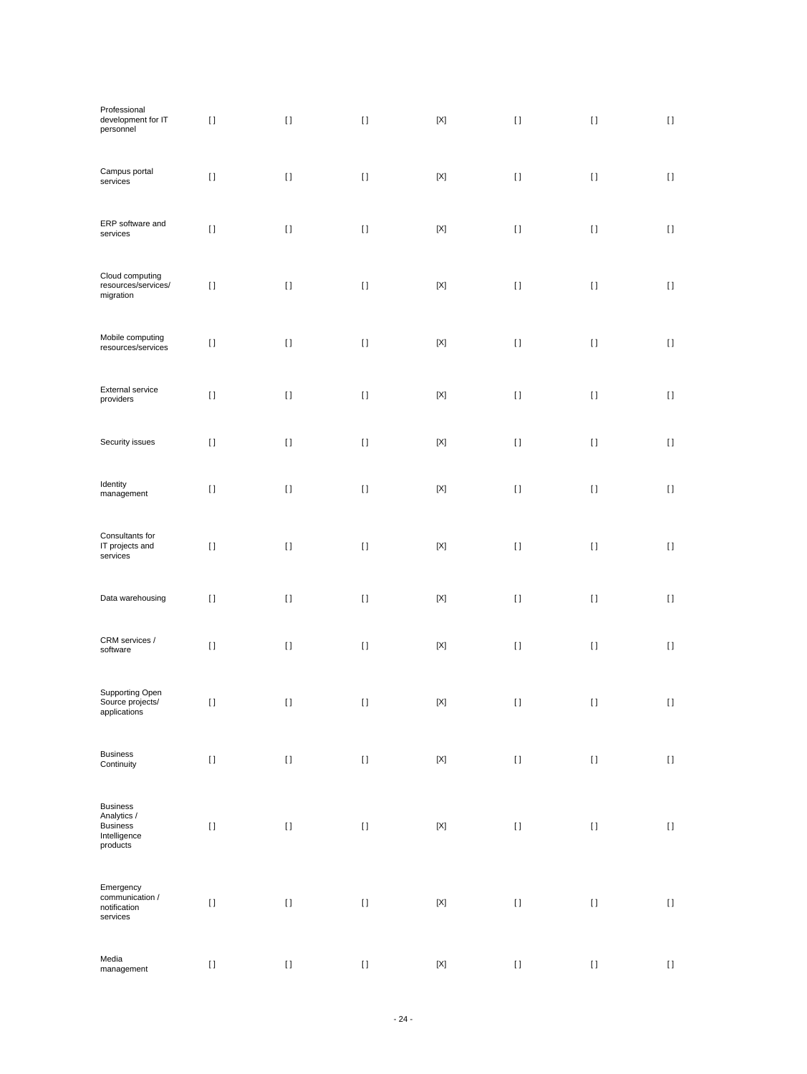| Professional<br>development for IT<br>personnel                               | $[ \ ]$  | $[ \; ]$                               | $[ \: ]$                                                                                                                                                                                                                                           | $[{\sf X}]$               | $[ \; ]$                                                                                                                                                                                                                                           | $[ \; ]$ | $[ \; ]$                               |
|-------------------------------------------------------------------------------|----------|----------------------------------------|----------------------------------------------------------------------------------------------------------------------------------------------------------------------------------------------------------------------------------------------------|---------------------------|----------------------------------------------------------------------------------------------------------------------------------------------------------------------------------------------------------------------------------------------------|----------|----------------------------------------|
| Campus portal<br>services                                                     | $[ \; ]$ | $[ \ ]$                                | $[ \; ]$                                                                                                                                                                                                                                           | $[{\sf X}]$               | $[ \ ]$                                                                                                                                                                                                                                            | $[ \ ]$  | $[ \ ]$                                |
| ERP software and<br>services                                                  | $[ \ ]$  | $[ \; ]$                               | $[ \; ]$                                                                                                                                                                                                                                           | $[{\sf X}]$               | $[ \; ]$                                                                                                                                                                                                                                           | $[ \ ]$  | $[ \ ]$                                |
| Cloud computing<br>resources/services/<br>migration                           | $[ \ ]$  | $[ \; ]$                               | $[ \; ]$                                                                                                                                                                                                                                           | $[{\sf X}]$               | $[ \; ]$                                                                                                                                                                                                                                           | $[ \ ]$  | $\left[ \ \right]$                     |
| Mobile computing<br>resources/services                                        | $[ \ ]$  | $[ \; ]$                               | $[ \ ]$                                                                                                                                                                                                                                            | $[{\sf X}]$               | $[ \; ]$                                                                                                                                                                                                                                           | $[ \ ]$  | $[ \ ]$                                |
| <b>External service</b><br>providers                                          | $[ \; ]$ | $\begin{array}{c} \square \end{array}$ | $[ \; ]$                                                                                                                                                                                                                                           | $[{\sf X}]$               | $[ \ ]$                                                                                                                                                                                                                                            | $[ \; ]$ | $[ \ ]$                                |
| Security issues                                                               | $[ \; ]$ | $\left[ \ \right]$                     | $[] \centering \includegraphics[width=0.47\textwidth]{images/TrDiS-Architecture.png} \caption{The 3D (top) and 4D (bottom) are used for the 3D (bottom) and 3D (bottom) are used for the 3D (bottom) and 3D (bottom).} \label{TrDiS-Architecture}$ | $[{\sf X}]$               | $[ \: ]$                                                                                                                                                                                                                                           | $[ \; ]$ | $[ \; ]$                               |
| Identity<br>management                                                        | $[ \ ]$  | $[ \; ]$                               | $[ \; ]$                                                                                                                                                                                                                                           | $[{\sf X}]$               | $[ \; ]$                                                                                                                                                                                                                                           | $[ \; ]$ | $[ \ ]$                                |
| Consultants for<br>IT projects and<br>services                                | $[ \ ]$  | $[ \; ]$                               | $[ \; ]$                                                                                                                                                                                                                                           | $[{\sf X}]$               | $[ \; ]$                                                                                                                                                                                                                                           | $[ \ ]$  | $\left[ \ \right]$                     |
| Data warehousing                                                              | $[ \; ]$ | $[ \; ]$                               | $[ \: ]$                                                                                                                                                                                                                                           | $[{\sf X}]$               | $[ \; ]$                                                                                                                                                                                                                                           | $[ \ ]$  | $[ \ ]$                                |
| CRM services /<br>software                                                    | $[ \, ]$ | $[ \ ]$                                | $[ \; ]$                                                                                                                                                                                                                                           | $[{\sf X}]$               | $[ \; ]$                                                                                                                                                                                                                                           | $[ \; ]$ | $[ \ ]$                                |
| Supporting Open<br>Source projects/<br>applications                           | $[ \, ]$ | $\left[ \ \right]$                     | $[ \; ]$                                                                                                                                                                                                                                           | $\left[ \text{X} \right]$ | $[ \; ]$                                                                                                                                                                                                                                           | $[ \; ]$ | $[ \ ]$                                |
| <b>Business</b><br>Continuity                                                 | $[ \ ]$  | $[ \ ]$                                | $[ \ ]$                                                                                                                                                                                                                                            | $\left[ \text{X} \right]$ | $[] \centering \includegraphics[width=0.47\textwidth]{images/TrDiS-Architecture.png} \caption{The 3D (top) and 4D (bottom) are used for the 3D (bottom) and 3D (bottom) are used for the 3D (bottom) and 3D (bottom).} \label{TrDiS-Architecture}$ | $[ \: ]$ | $[ \ ]$                                |
| <b>Business</b><br>Analytics /<br><b>Business</b><br>Intelligence<br>products | $[ \ ]$  | $[ \ ]$                                | $[ \ ]$                                                                                                                                                                                                                                            | $[{\sf X}]$               | $[] \centering \includegraphics[width=0.47\textwidth]{images/TrDiS-Architecture.png} \caption{The 3D (top) and 4D (bottom) are used for the 3D (bottom) and 3D (bottom) are used for the 3D (bottom) and 3D (bottom).} \label{TrDiS-Architecture}$ | $[ \: ]$ | $[ \ ]$                                |
| Emergency<br>communication /<br>notification<br>services                      | $[ \ ]$  | $[ \; ]$                               | $[ \ ]$                                                                                                                                                                                                                                            | $[{\sf X}]$               | $[ \: ]$                                                                                                                                                                                                                                           | $[ \; ]$ | $\begin{array}{c} \square \end{array}$ |
| Media<br>management                                                           | $[ \ ]$  | $[ \: ]$                               | $[ \ ]$                                                                                                                                                                                                                                            | $\left[ \text{X} \right]$ | $[ \, ]$                                                                                                                                                                                                                                           | $[ \: ]$ | $[ \; ]$                               |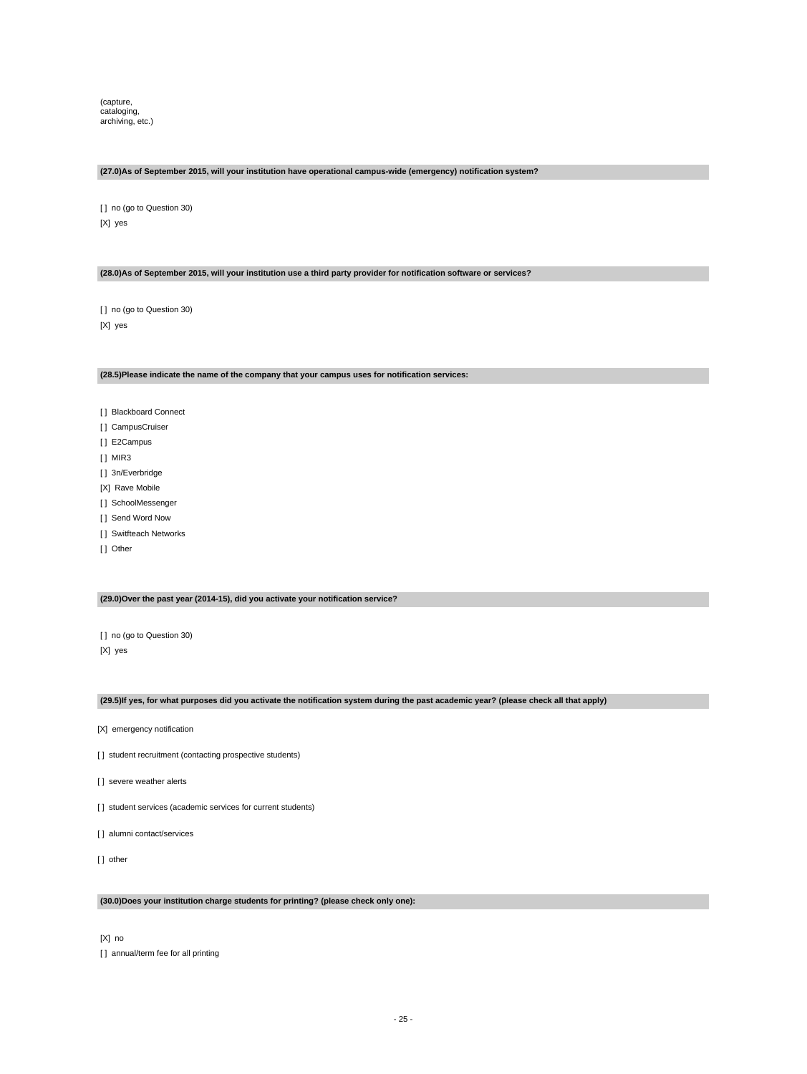(capture, cataloging, archiving, etc.)

# **(27.0)As of September 2015, will your institution have operational campus-wide (emergency) notification system?**

[ ] no (go to Question 30) [X] yes

### **(28.0)As of September 2015, will your institution use a third party provider for notification software or services?**

[] no (go to Question 30) [X] yes

#### **(28.5)Please indicate the name of the company that your campus uses for notification services:**

- [ ] Blackboard Connect
- [] CampusCruiser
- [] E2Campus
- [ ] MIR3
- [] 3n/Everbridge
- [X] Rave Mobile
- [] SchoolMessenger
- [ ] Send Word Now
- [ ] Switfteach Networks
- [ ] Other

### **(29.0)Over the past year (2014-15), did you activate your notification service?**

[] no (go to Question 30) [X] yes

### **(29.5)If yes, for what purposes did you activate the notification system during the past academic year? (please check all that apply)**

- [X] emergency notification
- [] student recruitment (contacting prospective students)
- [] severe weather alerts
- [] student services (academic services for current students)
- [ ] alumni contact/services
- [] other

### **(30.0)Does your institution charge students for printing? (please check only one):**

[X] no

[] annual/term fee for all printing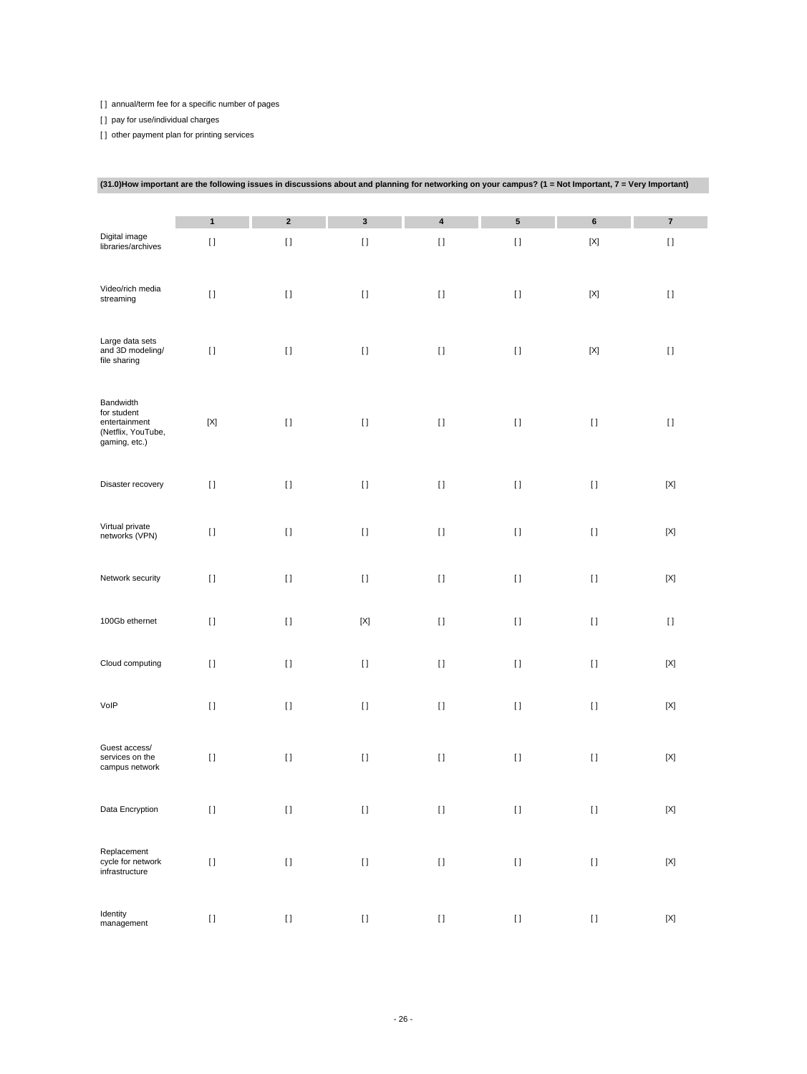[] annual/term fee for a specific number of pages

[ ] pay for use/individual charges

[] other payment plan for printing services

| (31.0)How important are the following issues in discussions about and planning for networking on your campus? (1 = Not Important, 7 = Very Important) |                                    |             |                    |                           |          |                    |             |
|-------------------------------------------------------------------------------------------------------------------------------------------------------|------------------------------------|-------------|--------------------|---------------------------|----------|--------------------|-------------|
|                                                                                                                                                       | $\mathbf{1}$                       | $\mathbf 2$ | $\mathbf{3}$       | $\pmb{4}$                 | 5        | $\bf 6$            | $\bf 7$     |
| Digital image<br>libraries/archives                                                                                                                   | $[ \; ]$                           | $[ \ ]$     | $[ \; ]$           | $[ \; ]$                  | $[ \; ]$ | $[{\sf X}]$        | $[ \; ]$    |
| Video/rich media<br>streaming                                                                                                                         | $[ \ ]$                            | $[ \ ]$     | $[ \ ]$            | $[ \; ]$                  | $[ \ ]$  | $[{\sf X}]$        | $[ \ ]$     |
| Large data sets<br>and 3D modeling/<br>file sharing                                                                                                   | $[ \ ]$                            | $[ \ ]$     | $[ \ ]$            | $[ \ ]$                   | $[ \ ]$  | [X]                | $[ \; ]$    |
| Bandwidth<br>for student<br>entertainment<br>(Netflix, YouTube,<br>gaming, etc.)                                                                      | $[{\sf X}]$                        | $[ \ ]$     | $[ \; ]$           | $[ \; ]$                  | $[ \; ]$ | $[ \ ]$            | $[ \ ]$     |
| Disaster recovery                                                                                                                                     | $[ \ ]$                            | $[ \ ]$     | $[ \ ]$            | $[ \; ]$                  | $[ \; ]$ | $[ \ ]$            | $[{\sf X}]$ |
| Virtual private<br>networks (VPN)                                                                                                                     | $[ \ ]$                            | $[ \ ]$     | $[ \ ]$            | $[ \ ]$                   | $[ \ ]$  | $[ \ ]$            | $[{\sf X}]$ |
| Network security                                                                                                                                      | $[ \ ]$                            | $[ \ ]$     | $[ \ ]$            | $[ \ ]$                   | $[ \ ]$  | $[ \ ]$            | [X]         |
| 100Gb ethernet                                                                                                                                        | $[ \ ]$                            | $[ \ ]$     | $[{\sf X}]$        | $[ \ ]$                   | $[ \ ]$  | $[ \ ]$            | $\lceil$    |
| Cloud computing                                                                                                                                       | $[ \ ]$                            | $[ \ ]$     | $[ \ ]$            | $[ \; ]$                  | $[ \; ]$ | $[ \ ]$            | $[{\sf X}]$ |
| VolP                                                                                                                                                  | $[ \ ]$                            | $[ \ ]$     | $[ \ ]$            | $[ \; ]$                  | $[ \; ]$ | $[ \ ]$            | $[{\sf X}]$ |
| Guest access/<br>services on the<br>campus network                                                                                                    | $[ \; ]$                           | $[ \; ]$    | $[ \ ]$            | $[ \; ]$                  | $[ \; ]$ | $[ \ ]$            | $[{\sf X}]$ |
| Data Encryption                                                                                                                                       | $[ \; ]$                           | $[ \ ]$     | $[ \ ]$            | $\mathop{\rm I}\nolimits$ | $[ \; ]$ | $[ \ ]$            | $[{\sf X}]$ |
| Replacement<br>cycle for network<br>infrastructure                                                                                                    | $\begin{array}{c} \Pi \end{array}$ | $[ \; ]$    | $\left[ \ \right]$ | $[ \; ]$                  | $[ \; ]$ | $\left[ \ \right]$ | $[{\sf X}]$ |
| Identity<br>management                                                                                                                                | $\begin{array}{c} \Pi \end{array}$ | $[ \; ]$    | $[ \; ]$           | $[ \; ]$                  | $[ \, ]$ | $\left[ \ \right]$ | $[{\sf X}]$ |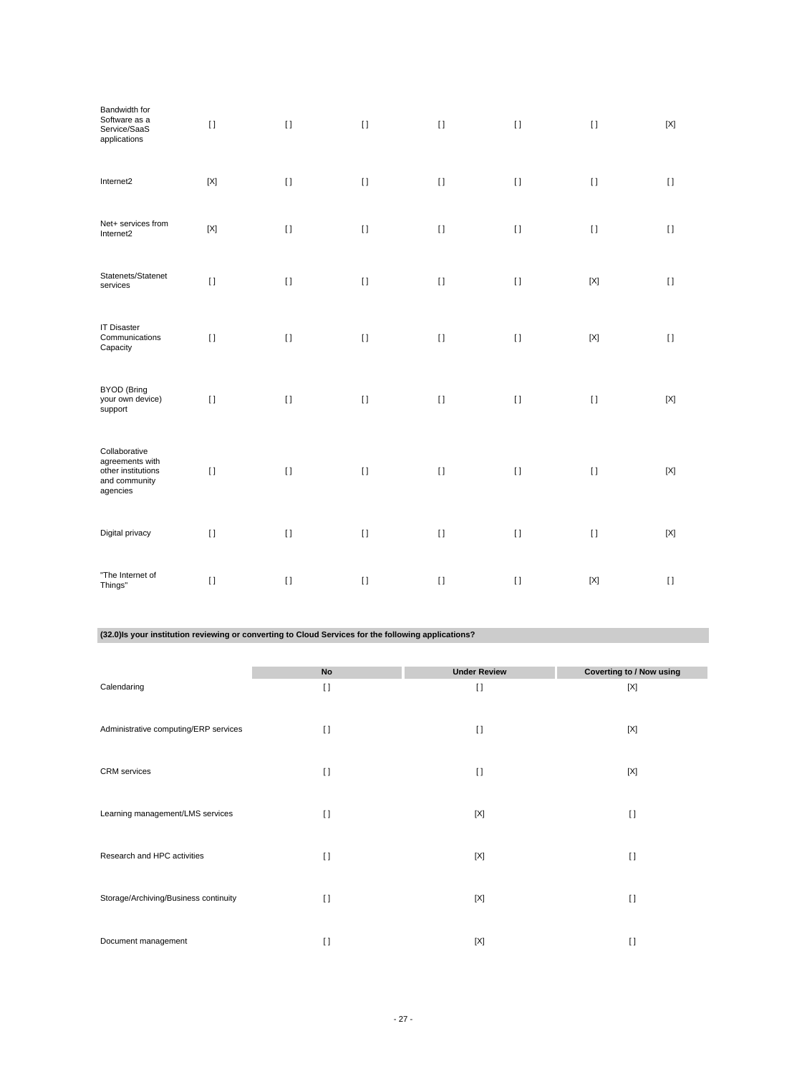| Bandwidth for<br>Software as a<br>Service/SaaS<br>applications                      | $\mathbf{I}$ | $\lceil$ | $[ \ ]$  | $\lceil$                  | $[ \ ]$  | $[ \ ]$     | [X]                                    |
|-------------------------------------------------------------------------------------|--------------|----------|----------|---------------------------|----------|-------------|----------------------------------------|
| Internet2                                                                           | $[{\sf X}]$  | $[ \ ]$  | $[ \ ]$  | $[ \; ]$                  | $[ \; ]$ | $[ \ ]$     | $[ \ ]$                                |
| Net+ services from<br>Internet2                                                     | $[{\sf X}]$  | $[ \ ]$  | $[ \ ]$  | $[ \ ]$                   | $[ \ ]$  | $[ \ ]$     | $[ \ ]$                                |
| Statenets/Statenet<br>services                                                      | $[ \; ]$     | $[ \ ]$  | $[ \ ]$  | $[ \ ]$                   | $[ \ ]$  | $[{\sf X}]$ | $[ \ ]$                                |
| <b>IT Disaster</b><br>Communications<br>Capacity                                    | $[ \ ]$      | $[ \ ]$  | $[ \ ]$  | $\bar{\Pi}$               | $[ \; ]$ | $[{\sf X}]$ | $\begin{array}{c} \square \end{array}$ |
| <b>BYOD</b> (Bring<br>your own device)<br>support                                   | $[ \ ]$      | $[ \ ]$  | $[ \ ]$  | $[ \ ]$                   | $[ \ ]$  | $[ \ ]$     | [X]                                    |
| Collaborative<br>agreements with<br>other institutions<br>and community<br>agencies | $[ \ ]$      | $[ \ ]$  | $[ \ ]$  | $\mathop{\rm I}\nolimits$ | $[ \ ]$  | $[ \ ]$     | $[{\sf X}]$                            |
| Digital privacy                                                                     | $[ \; ]$     | $[ \; ]$ | $[ \; ]$ | $[ \; ]$                  | $[ \ ]$  | $[ \ ]$     | $[{\sf X}]$                            |
| "The Internet of<br>Things"                                                         | $[ \; ]$     | $\lceil$ | $[ \ ]$  | $[ \ ]$                   | $[ \ ]$  | $[{\sf X}]$ | $[ \ ]$                                |

**(32.0)Is your institution reviewing or converting to Cloud Services for the following applications?**

|                                       | <b>No</b> | <b>Under Review</b> | <b>Coverting to / Now using</b> |
|---------------------------------------|-----------|---------------------|---------------------------------|
| Calendaring                           | $\lceil$  | $\lceil$            | [X]                             |
|                                       |           |                     |                                 |
| Administrative computing/ERP services | $\lceil$  | $\lceil$            | [X]                             |
|                                       |           |                     |                                 |
| <b>CRM</b> services                   | $\lceil$  | $\lceil$            | [X]                             |
|                                       |           |                     |                                 |
| Learning management/LMS services      | $[ \ ]$   | $[{\sf X}]$         | $[ \ ]$                         |
|                                       |           |                     |                                 |
| Research and HPC activities           | $\lceil$  | [X]                 | $[ \ ]$                         |
|                                       |           |                     |                                 |
|                                       |           |                     |                                 |
| Storage/Archiving/Business continuity | $\lceil$  | $[{\sf X}]$         | $[ \ ]$                         |
|                                       |           |                     |                                 |
| Document management                   | $\lceil$  | [X]                 | $\Box$                          |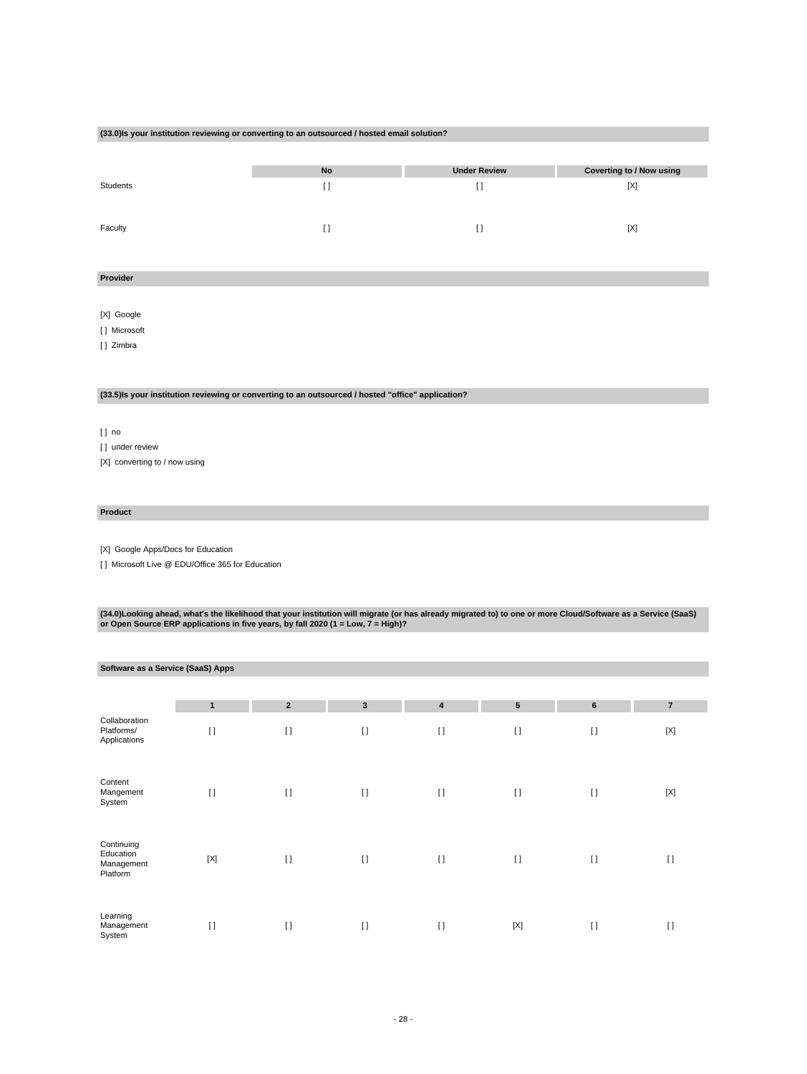### **(33.0)Is your institution reviewing or converting to an outsourced / hosted email solution?**

|          | No | <b>Under Review</b> | Coverting to / Now using |
|----------|----|---------------------|--------------------------|
| Students | [] |                     | [X]                      |
| Faculty  | 11 |                     | [X]                      |

### **Provider**

[X] Google

[ ] Microsoft

[ ] Zimbra

# **(33.5)Is your institution reviewing or converting to an outsourced / hosted "office" application?**

[ ] no

[] under review

[X] converting to / now using

### **Product**

[X] Google Apps/Docs for Education

[] Microsoft Live @ EDU/Office 365 for Education

(34.0)Looking ahead, what's the likelihood that your institution will migrate (or has already migrated to) to one or more Cloud/Software as a Service (SaaS)<br>or Open Source ERP applications in five years, by fall 2020 (1 =

| Software as a Service (SaaS) Apps                 |              |                |              |              |                 |                |                |
|---------------------------------------------------|--------------|----------------|--------------|--------------|-----------------|----------------|----------------|
|                                                   | $\mathbf{1}$ | $\overline{2}$ | $\mathbf{3}$ | 4            | $5\phantom{.0}$ | $6\phantom{1}$ | $\overline{7}$ |
| Collaboration<br>Platforms/<br>Applications       | $\lceil$     | $\lceil$       | $[ \ ]$      | $[ \ ]$      | $[ \ ]$         | $[ \ ]$        | $[{\sf X}]$    |
| Content<br>Mangement<br>System                    | $\lceil$     | $\lceil$       | $[ \ ]$      | $[ \ ]$      | $[ \ ]$         | $\lceil$       | [X]            |
| Continuing<br>Education<br>Management<br>Platform | $[{\sf X}]$  | $[ \ ]$        | $[ \ ]$      | $[ \ ]$      | $[ \ ]$         | $\lceil$       | $\lceil$       |
| Learning<br>Management<br>System                  | $[ ]$        | $[ \ ]$        | $\lceil$     | $\mathbf{I}$ | $[{\sf X}]$     | $\lceil$       | $[ \ ]$        |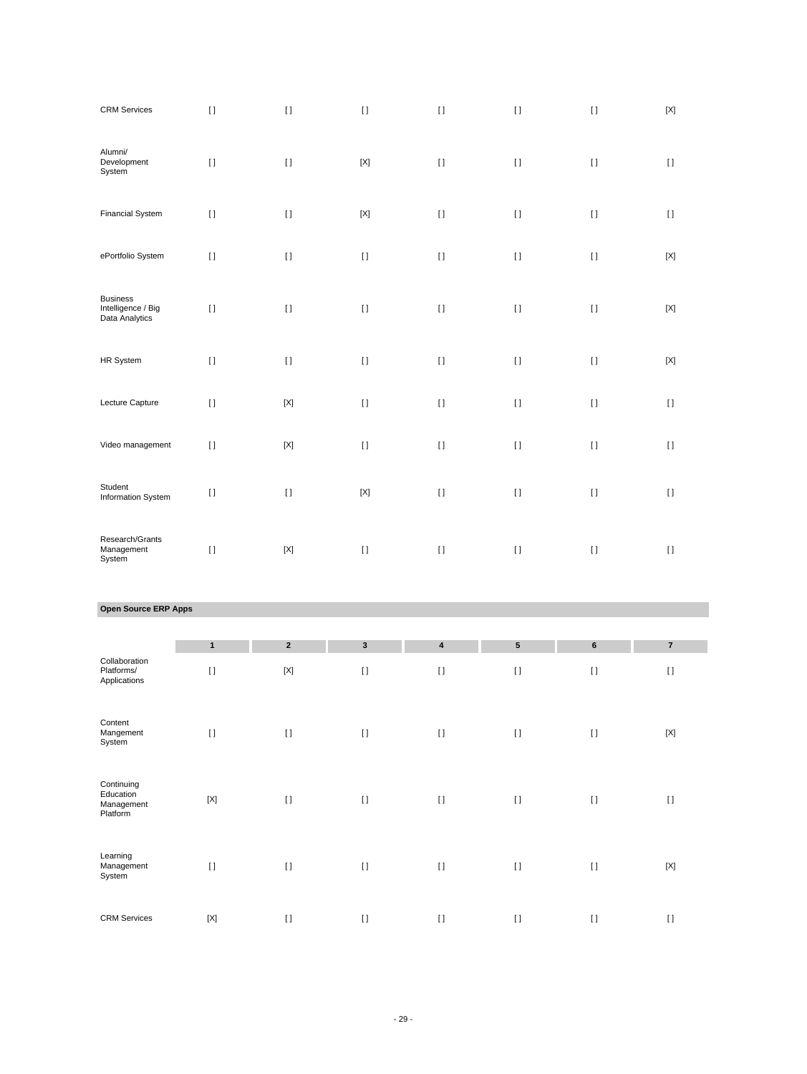| <b>CRM Services</b>                                     | $[ \, ]$                                                                                                                                                                                              | $[ \ ]$     | $[ \ ]$             | $[ \; ]$                    | $[ \, ]$                                                                                                                                                                                              | $[ \ ]$  | $[{\sf X}]$        |
|---------------------------------------------------------|-------------------------------------------------------------------------------------------------------------------------------------------------------------------------------------------------------|-------------|---------------------|-----------------------------|-------------------------------------------------------------------------------------------------------------------------------------------------------------------------------------------------------|----------|--------------------|
| Alumni/<br>Development<br>System                        | $[ \; ]$                                                                                                                                                                                              | $[ \ ]$     | $[{\sf X}]$         | $[ \ ]$                     | $[ \ ]$                                                                                                                                                                                               | $[ \; ]$ | $[ \ ]$            |
| <b>Financial System</b>                                 | $[ \ ]$                                                                                                                                                                                               | $[ \ ]$     | $[{\sf X}]$         | $[ \; ]$                    | $[ \; ]$                                                                                                                                                                                              | $[ \ ]$  | $[ \; ]$           |
| ePortfolio System                                       | $[ \; ]$                                                                                                                                                                                              | $[ \; ]$    | $[ \ ]$             | $[ \; ]$                    | $[ \, ]$                                                                                                                                                                                              | $[ \ ]$  | $[{\sf X}]$        |
| <b>Business</b><br>Intelligence / Big<br>Data Analytics | $[ \; ]$                                                                                                                                                                                              | $[ \ ]$     | $[ \ ]$             | $[ \; ]$                    | $[ \ ]$                                                                                                                                                                                               | $[ \; ]$ | $[{\sf X}]$        |
| HR System                                               | $[ \; ]$                                                                                                                                                                                              | $[ \ ]$     | $[ \; ]$            | $[ \; ]$                    | $[ \; ]$                                                                                                                                                                                              | $[ \; ]$ | $[{\sf X}]$        |
| Lecture Capture                                         | $[ \; ]$                                                                                                                                                                                              | $[{\sf X}]$ | $[ \ ]$             | $\mathop{\rm I}\nolimits$   | $[ \, ]$                                                                                                                                                                                              | $[ \ ]$  | $[ \ ]$            |
| Video management                                        | $[ \ ]$                                                                                                                                                                                               | $[{\sf X}]$ | $[ \ ]$             | $[ \; ]$                    | $[ \ ]$                                                                                                                                                                                               | $[ \ ]$  | $[ \ ]$            |
| Student<br>Information System                           | $[ \; ]$                                                                                                                                                                                              | $[ \ ]$     | $[{\sf X}]$         | $[ \; ]$                    | $[ \; ]$                                                                                                                                                                                              | $[ \ ]$  | $[ \ ]$            |
| Research/Grants<br>Management<br>System                 | $[ \; ]$                                                                                                                                                                                              | $[{\sf X}]$ | $[ \ ]$             | $\mathop{\rm \Pi}\nolimits$ | $[ \; ]$                                                                                                                                                                                              | $[ \ ]$  | $[ \; ]$           |
| Open Source ERP Apps                                    |                                                                                                                                                                                                       |             |                     |                             |                                                                                                                                                                                                       |          |                    |
|                                                         | $\mathbf{1}$                                                                                                                                                                                          | $\mathbf 2$ | $\mathbf{3}$        | 4                           | ${\bf 5}$                                                                                                                                                                                             | 6        | $\bf 7$            |
| Collaboration<br>Platforms/<br>Applications             | $[ \; ]$                                                                                                                                                                                              | $[{\sf X}]$ | $[ \; ]$            | $\mathop{\rm I}\nolimits$   | $[ \ ]$                                                                                                                                                                                               | $[ \ ]$  | $\left[ \ \right]$ |
| Content<br>Mangement<br>System                          | $[ \; ]$                                                                                                                                                                                              | $[ \; ]$    | $\left[ \ \right]$  | $\mathop{\rm \Pi}\nolimits$ | $[ \, ]$                                                                                                                                                                                              | $[ \; ]$ | $[{\sf X}]$        |
| Continuing<br>Education<br>Management<br>Platform       | $[{\sf X}]$                                                                                                                                                                                           | $[ \ ]$     | $\left[ \, \right]$ | $\mathop{\rm \Pi}\nolimits$ | $[ \; ]$                                                                                                                                                                                              | $[ \; ]$ | $\left[ \ \right]$ |
| Learning<br>Management<br>System                        | $[] \centering \includegraphics[width=0.47\textwidth]{images/TrDiS-Architecture.png} \caption{The 3D (top) and 4D (bottom) are used for the 3D (bottom) and 3D (bottom).} \label{TrDiS-Architecture}$ | $[ \ ]$     | $[ \ ]$             | $\rm I$ l                   | $[] \centering \includegraphics[width=0.47\textwidth]{images/TrDiS-Architecture.png} \caption{The 3D (top) and 4D (bottom) are used for the 3D (bottom) and 3D (bottom).} \label{TrDiS-Architecture}$ | $[ \; ]$ | $[{\sf X}]$        |
| <b>CRM Services</b>                                     | $\left[ \text{X} \right]$                                                                                                                                                                             | $[ \; ]$    | $[ \ ]$             | $[ \, ]$                    | $[ \; ]$                                                                                                                                                                                              | $[ \; ]$ | $[ \; ]$           |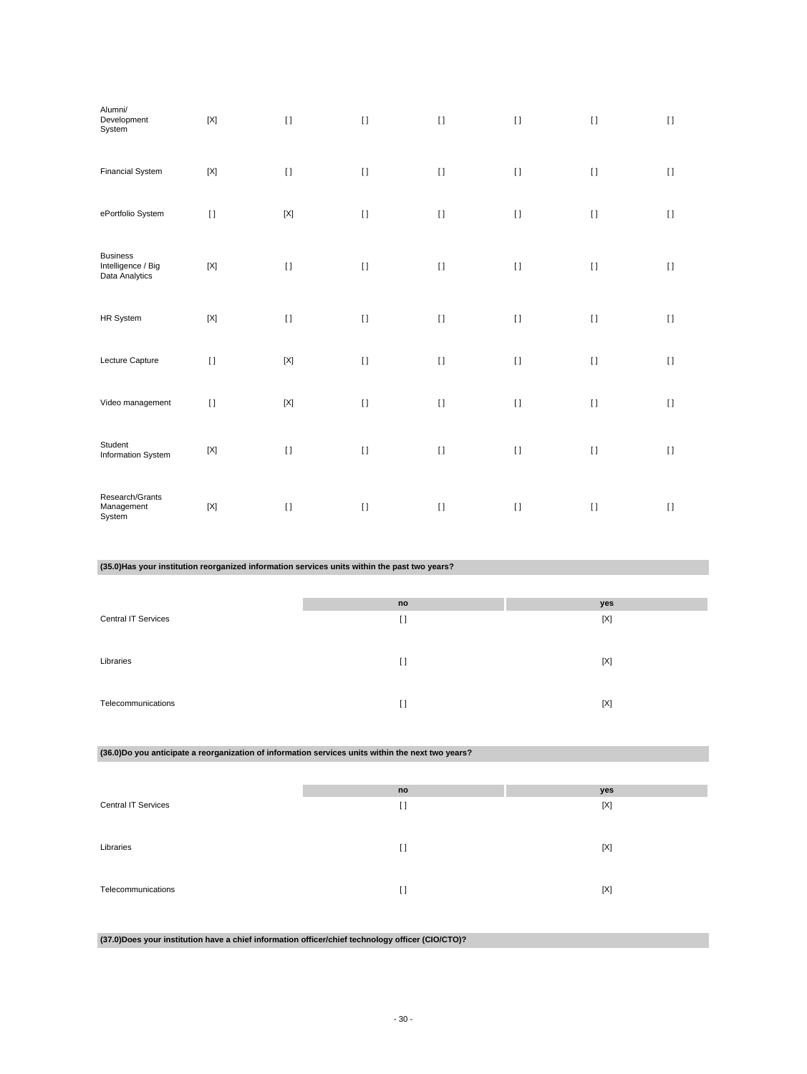| Alumni/<br>Development<br>System                                                                  | $[{\sf X}]$               | $[ \ ]$     | $\left[ \ \right]$                 | $[ \; ]$ | $[ \ ]$ | $[ \; ]$           | $[ \ ]$  |
|---------------------------------------------------------------------------------------------------|---------------------------|-------------|------------------------------------|----------|---------|--------------------|----------|
| <b>Financial System</b>                                                                           | $[{\sf X}]$               | $[ \; ]$    | $[ \; ]$                           | $[ \; ]$ | $[ \ ]$ | $[ \; ]$           | $[ \; ]$ |
| ePortfolio System                                                                                 | $[ \; ]$                  | $[{\sf X}]$ | $[ \; ]$                           | $[ \; ]$ | $[ \ ]$ | $[ \; ]$           | $[ \; ]$ |
| <b>Business</b><br>Intelligence / Big<br>Data Analytics                                           | $[{\sf X}]$               | $[ \ ]$     | $[ \ ]$                            | $[ \; ]$ | $[ \ ]$ | $[ \ ]$            | $[ \; ]$ |
| HR System                                                                                         | $[{\sf X}]$               | $[ \ ]$     | $[ \; ]$                           | $[ \; ]$ | $[ \ ]$ | $[ \; ]$           | $[ \; ]$ |
| Lecture Capture                                                                                   | $[ \; ]$                  | $[{\sf X}]$ | $[ \; ]$                           | $[ \ ]$  | $[ \ ]$ | $[ \; ]$           | $[ \ ]$  |
| Video management                                                                                  | $[ \; ]$                  | $[{\sf X}]$ | $[ \: ]$                           | $[ \ ]$  | $[ \ ]$ | $[ \; ]$           | $[ \; ]$ |
| Student<br>Information System                                                                     | $[{\sf X}]$               | $[ \; ]$    | $[ \; ]$                           | $[ \ ]$  | $[ \ ]$ | $[ \; ]$           | $[ \; ]$ |
| Research/Grants<br>Management<br>System                                                           | $\left[ \text{X} \right]$ | $[ \ ]$     | $[ \: ]$                           | $[ \ ]$  | $[ \ ]$ | $[ \; ]$           | $[ \; ]$ |
|                                                                                                   |                           |             |                                    |          |         |                    |          |
| (35.0) Has your institution reorganized information services units within the past two years?     |                           |             |                                    |          |         |                    |          |
|                                                                                                   |                           |             |                                    |          |         |                    |          |
| <b>Central IT Services</b>                                                                        |                           |             | $\mathop{\mathsf{no}}$<br>$[ \; ]$ |          |         | yes<br>$[{\sf X}]$ |          |
| Libraries                                                                                         |                           |             | $[ \ ]$                            |          |         | $[{\sf X}]$        |          |
| Telecommunications                                                                                |                           |             | $[ \; ]$                           |          |         | $[{\sf X}]$        |          |
| (36.0)Do you anticipate a reorganization of information services units within the next two years? |                           |             |                                    |          |         |                    |          |
|                                                                                                   |                           |             | $\mathop{\mathsf{no}}$             |          |         |                    |          |
| <b>Central IT Services</b>                                                                        |                           |             | $[ \; ]$                           |          |         | yes<br>$[{\sf X}]$ |          |
| Libraries                                                                                         |                           |             | $[ \ ]$                            |          |         | $[{\sf X}]$        |          |
| Telecommunications                                                                                |                           |             | $[ \ ]$                            |          |         | $[{\sf X}]$        |          |

**(37.0)Does your institution have a chief information officer/chief technology officer (CIO/CTO)?**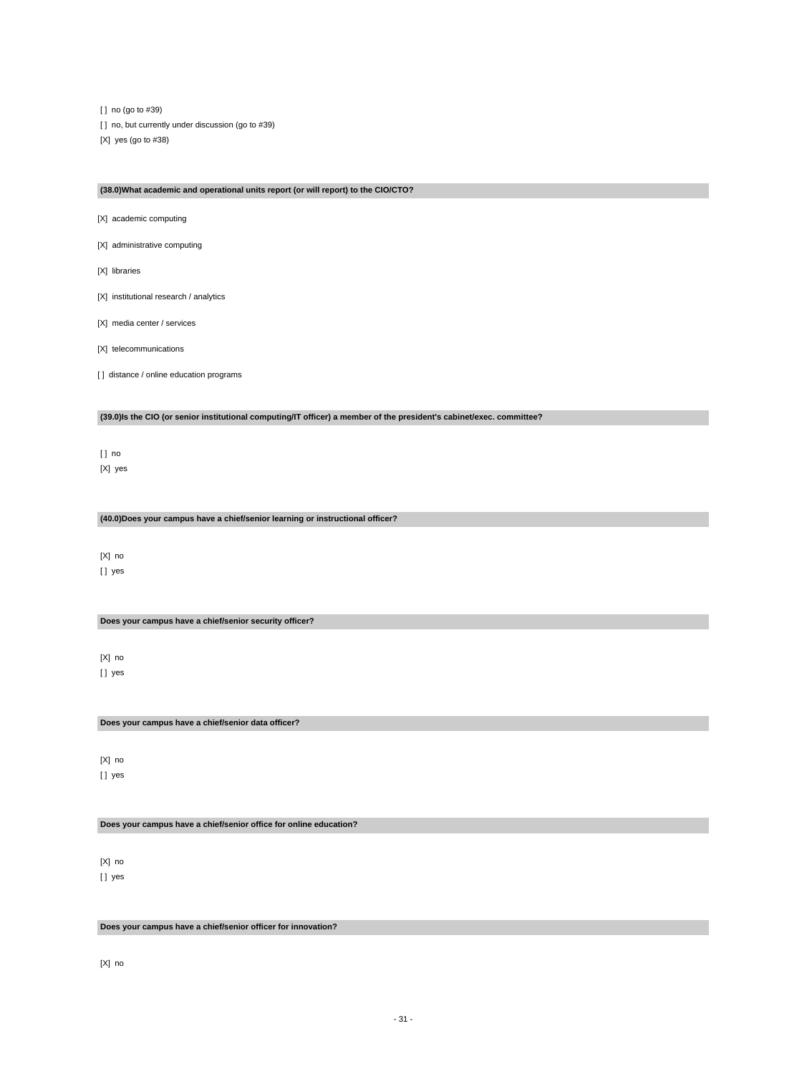[ ] no (go to #39) [] no, but currently under discussion (go to #39) [X] yes (go to #38)

### **(38.0)What academic and operational units report (or will report) to the CIO/CTO?**

[X] academic computing

- [X] administrative computing
- [X] libraries
- [X] institutional research / analytics
- [X] media center / services
- [X] telecommunications
- [ ] distance / online education programs

**(39.0)Is the CIO (or senior institutional computing/IT officer) a member of the president's cabinet/exec. committee?**

[ ] no [X] yes

**(40.0)Does your campus have a chief/senior learning or instructional officer?**

[X] no [] yes

**Does your campus have a chief/senior security officer?**

[X] no [] yes

**Does your campus have a chief/senior data officer?**

[X] no [ ] yes

**Does your campus have a chief/senior office for online education?**

[X] no [] yes

**Does your campus have a chief/senior officer for innovation?**

[X] no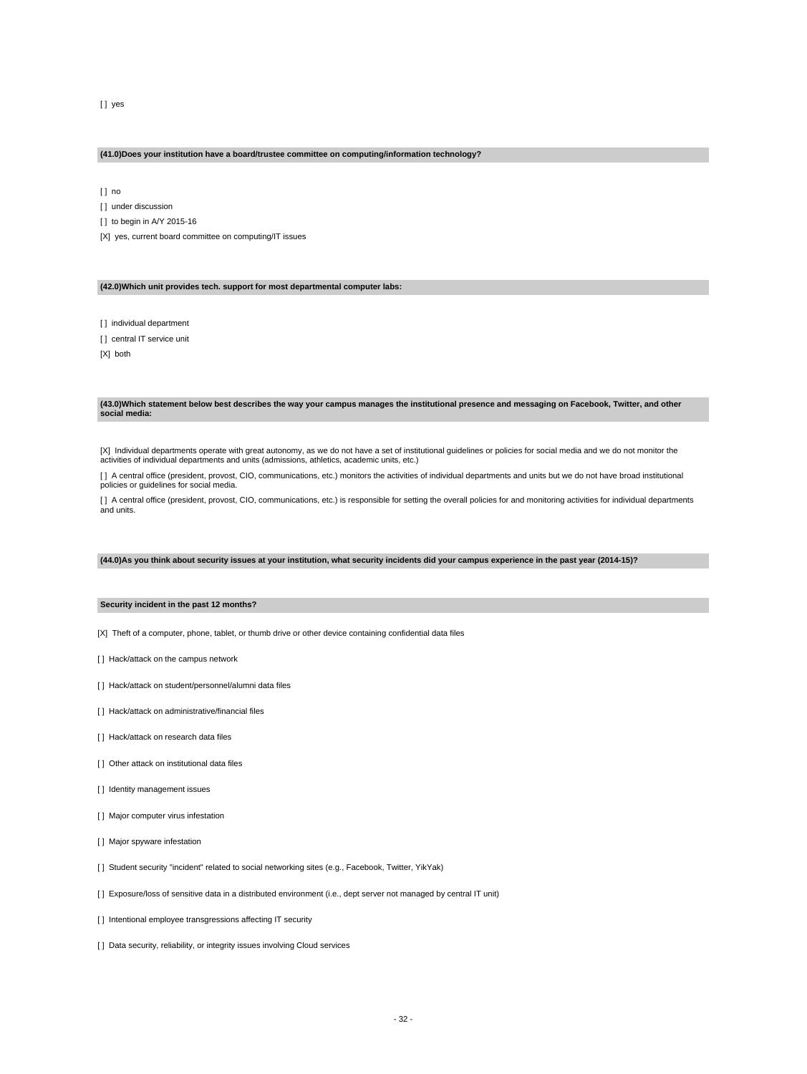# [ ] yes

### **(41.0)Does your institution have a board/trustee committee on computing/information technology?**

[ ] no

[ ] under discussion

[ ] to begin in A/Y 2015-16

[X] yes, current board committee on computing/IT issues

# **(42.0)Which unit provides tech. support for most departmental computer labs:**

[ ] individual department

[] central IT service unit

[X] both

#### **(43.0)Which statement below best describes the way your campus manages the institutional presence and messaging on Facebook, Twitter, and other social media:**

[X] Individual departments operate with great autonomy, as we do not have a set of institutional guidelines or policies for social media and we do not monitor the activities of individual departments and units (admissions, athletics, academic units, etc.)

[ ] A central office (president, provost, CIO, communications, etc.) monitors the activities of individual departments and units but we do not have broad institutional policies or guidelines for social media.

[] A central office (president, provost, CIO, communications, etc.) is responsible for setting the overall policies for and monitoring activities for individual departments and units.

### **(44.0)As you think about security issues at your institution, what security incidents did your campus experience in the past year (2014-15)?**

### **Security incident in the past 12 months?**

[X] Theft of a computer, phone, tablet, or thumb drive or other device containing confidential data files

- [] Hack/attack on the campus network
- [] Hack/attack on student/personnel/alumni data files
- [] Hack/attack on administrative/financial files
- [ ] Hack/attack on research data files
- [ ] Other attack on institutional data files
- [ ] Identity management issues
- [ ] Major computer virus infestation
- [ ] Major spyware infestation
- [] Student security "incident" related to social networking sites (e.g., Facebook, Twitter, YikYak)
- [ ] Exposure/loss of sensitive data in a distributed environment (i.e., dept server not managed by central IT unit)
- [ ] Intentional employee transgressions affecting IT security
- [ ] Data security, reliability, or integrity issues involving Cloud services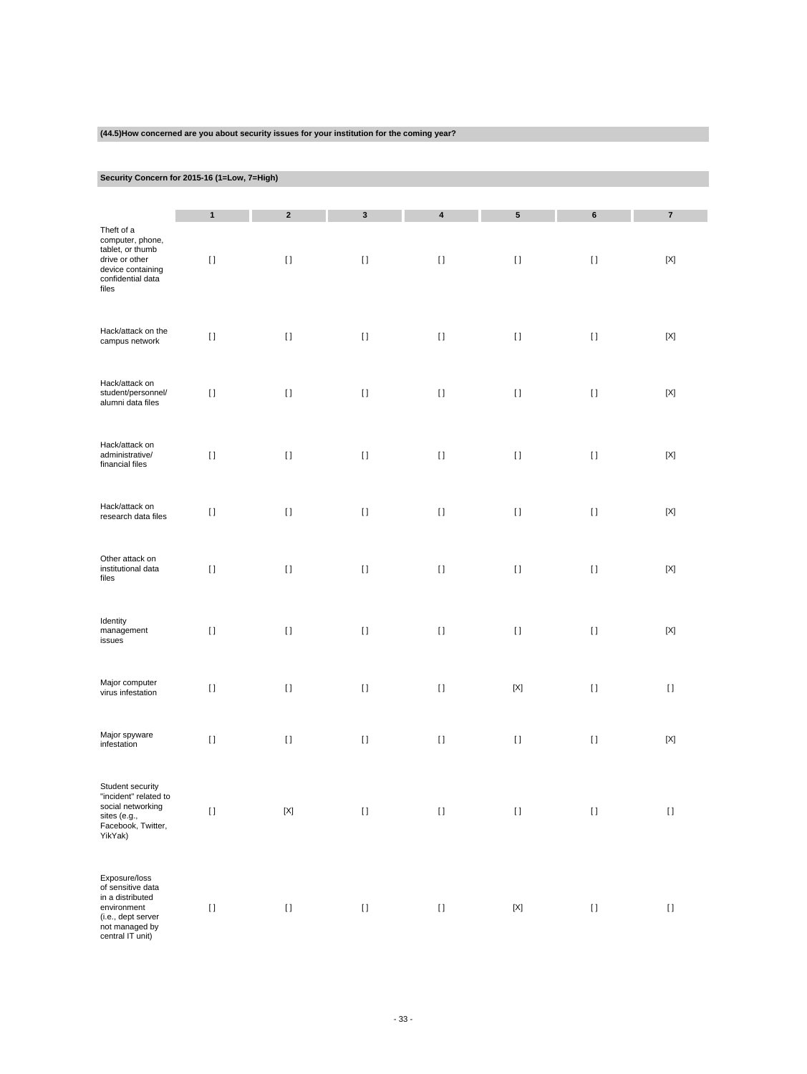| (44.5) How concerned are you about security issues for your institution for the coming year?                            |                                        |             |             |                                                                                                                                                                                                                                                    |             |                    |                         |  |
|-------------------------------------------------------------------------------------------------------------------------|----------------------------------------|-------------|-------------|----------------------------------------------------------------------------------------------------------------------------------------------------------------------------------------------------------------------------------------------------|-------------|--------------------|-------------------------|--|
|                                                                                                                         |                                        |             |             |                                                                                                                                                                                                                                                    |             |                    |                         |  |
| Security Concern for 2015-16 (1=Low, 7=High)                                                                            |                                        |             |             |                                                                                                                                                                                                                                                    |             |                    |                         |  |
|                                                                                                                         | $\mathbf{1}$                           | $\mathbf 2$ | $\mathbf 3$ | 4                                                                                                                                                                                                                                                  | ${\bf 5}$   | 6                  | $\overline{\mathbf{7}}$ |  |
| Theft of a<br>computer, phone,<br>tablet, or thumb<br>drive or other<br>device containing<br>confidential data<br>files | $[ \ ]$                                | $[ \; ]$    | $[ \; ]$    | $[ \; ]$                                                                                                                                                                                                                                           | $[ \; ]$    | $[ \; ]$           | $[{\sf X}]$             |  |
| Hack/attack on the<br>campus network                                                                                    | $[ \ ]$                                | $[ \ ]$     | $[ \ ]$     | $[ \ ]$                                                                                                                                                                                                                                            | $[ \ ]$     | $[ \ ]$            | [X]                     |  |
| Hack/attack on<br>student/personnel/<br>alumni data files                                                               | $[ \ ]$                                | $[ \ ]$     | $[ \ ]$     | $[ \ ]$                                                                                                                                                                                                                                            | $[ \ ]$     | $[ \ ]$            | [X]                     |  |
| Hack/attack on<br>administrative/<br>financial files                                                                    | $[ \ ]$                                | $[ \ ]$     | $[ \ ]$     | $[ \; ]$                                                                                                                                                                                                                                           | $[ \ ]$     | $[ \ ]$            | [X]                     |  |
| Hack/attack on<br>research data files                                                                                   | $[ \; ]$                               | $[ \; ]$    | $[ \ ]$     | $[ \; ]$                                                                                                                                                                                                                                           | $[ \ ]$     | $[ \ ]$            | [X]                     |  |
| Other attack on<br>institutional data<br>files                                                                          | $\begin{array}{c} \square \end{array}$ | $[ \ ]$     | $[ \ ]$     | $[ \; ]$                                                                                                                                                                                                                                           | $[ \ ]$     | $[ \ ]$            | [X]                     |  |
| Identity<br>management<br>issues                                                                                        | $[ \ ]$                                | $[ \ ]$     | $[ \ ]$     | $[ \ ]$                                                                                                                                                                                                                                            | $[ \ ]$     | $[ \ ]$            | [X]                     |  |
| Major computer<br>virus infestation                                                                                     | $[ \ ]$                                | $[ \ ]$     | $[ \ ]$     | $[ \ ]$                                                                                                                                                                                                                                            | $[{\sf X}]$ | $[ \ ]$            | $[ \ ]$                 |  |
| Major spyware<br>infestation                                                                                            | $[ \ ]$                                | $[ \ ]$     | $[ \ ]$     | $[] \centering \includegraphics[width=0.47\textwidth]{images/TrDiS-Architecture.png} \caption{The 3D (top) and 4D (bottom) are used for the 3D (bottom) and 3D (bottom) are used for the 3D (bottom) and 3D (bottom).} \label{TrDiS-Architecture}$ | $[ \ ]$     | $[ \; ]$           | $[{\sf X}]$             |  |
| Student security<br>"incident" related to<br>social networking<br>sites (e.g.,<br>Facebook, Twitter,<br>YikYak)         | $[ \, ]$                               | $[{\sf X}]$ | $[ \ ]$     | $[] \centering \includegraphics[width=0.47\textwidth]{images/TrDiS-Architecture.png} \caption{The 3D (top) and 4D (bottom) are used for the 3D (bottom) and 3D (bottom) are used for the 3D (bottom) and 3D (bottom).} \label{TrDiS-Architecture}$ | $[ \, ]$    | $[ \; ]$           | $[ \ ]$                 |  |
| Exposure/loss<br>of sensitive data<br>in a distributed<br>environment<br>(i.e., dept server                             | $[ \: ]$                               | $[ \: ]$    | $[ \: ]$    | $[ \; ]$                                                                                                                                                                                                                                           | $[{\sf X}]$ | $\left[ \ \right]$ | $[ \ ]$                 |  |

**(44.5)How concerned are you about security issues for your institution for the coming year?**

(i.e., dept server not managed by central IT unit)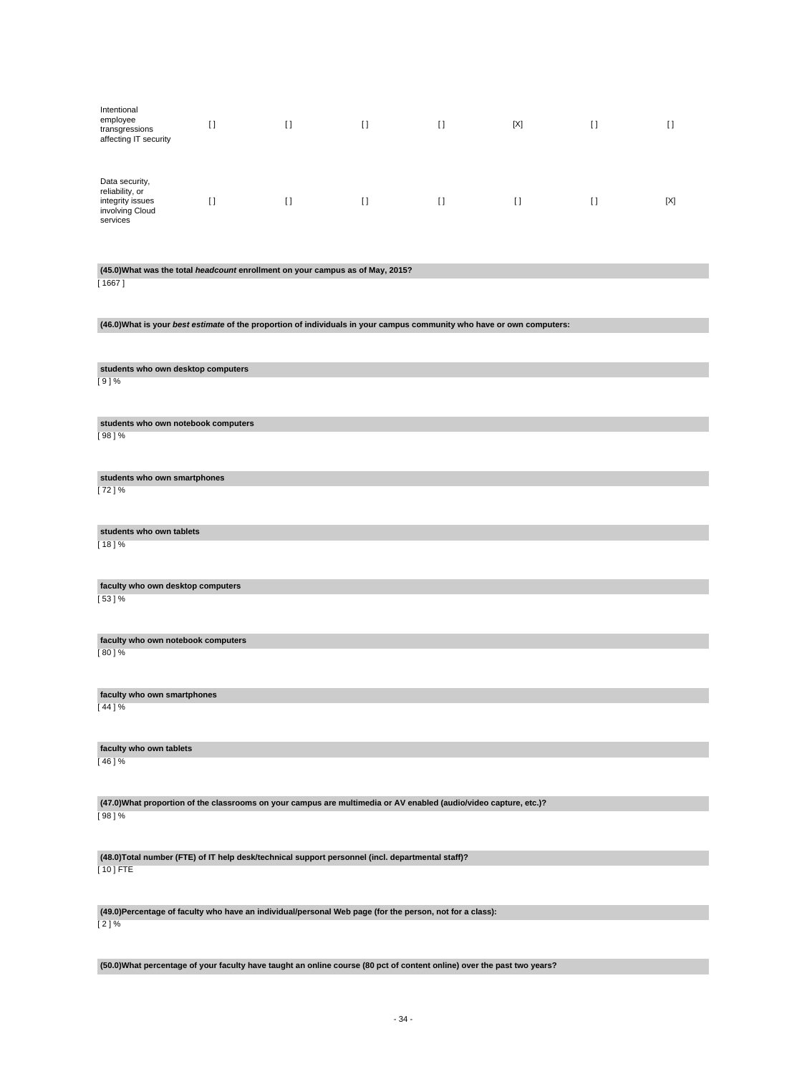| Intentional<br>employee<br>transgressions<br>affecting IT security                                                            | $[ \ ]$                                                                        | $[ \ ]$  | $\lceil$ | $\lceil$ | $[{\sf X}]$ | $[ \ ]$  | $[ \ ]$     |  |  |  |
|-------------------------------------------------------------------------------------------------------------------------------|--------------------------------------------------------------------------------|----------|----------|----------|-------------|----------|-------------|--|--|--|
| Data security,<br>reliability, or<br>integrity issues<br>involving Cloud<br>services                                          | $[ \ ]$                                                                        | $[ \; ]$ | $\lceil$ | $\lceil$ | $[ \; ]$    | $\lceil$ | $[{\sf X}]$ |  |  |  |
|                                                                                                                               |                                                                                |          |          |          |             |          |             |  |  |  |
| [ 1667 ]                                                                                                                      | (45.0) What was the total headcount enrollment on your campus as of May, 2015? |          |          |          |             |          |             |  |  |  |
| (46.0) What is your best estimate of the proportion of individuals in your campus community who have or own computers:        |                                                                                |          |          |          |             |          |             |  |  |  |
|                                                                                                                               |                                                                                |          |          |          |             |          |             |  |  |  |
| students who own desktop computers                                                                                            |                                                                                |          |          |          |             |          |             |  |  |  |
| [9]%                                                                                                                          |                                                                                |          |          |          |             |          |             |  |  |  |
| students who own notebook computers                                                                                           |                                                                                |          |          |          |             |          |             |  |  |  |
| $198$ $\frac{1}{6}$                                                                                                           |                                                                                |          |          |          |             |          |             |  |  |  |
| students who own smartphones                                                                                                  |                                                                                |          |          |          |             |          |             |  |  |  |
| [72]%                                                                                                                         |                                                                                |          |          |          |             |          |             |  |  |  |
|                                                                                                                               |                                                                                |          |          |          |             |          |             |  |  |  |
| students who own tablets<br>[18]%                                                                                             |                                                                                |          |          |          |             |          |             |  |  |  |
|                                                                                                                               |                                                                                |          |          |          |             |          |             |  |  |  |
| faculty who own desktop computers                                                                                             |                                                                                |          |          |          |             |          |             |  |  |  |
| $[53]$ %                                                                                                                      |                                                                                |          |          |          |             |          |             |  |  |  |
|                                                                                                                               |                                                                                |          |          |          |             |          |             |  |  |  |
| faculty who own notebook computers<br>$[80]$ %                                                                                |                                                                                |          |          |          |             |          |             |  |  |  |
|                                                                                                                               |                                                                                |          |          |          |             |          |             |  |  |  |
| faculty who own smartphones                                                                                                   |                                                                                |          |          |          |             |          |             |  |  |  |
| [ 44 ] %                                                                                                                      |                                                                                |          |          |          |             |          |             |  |  |  |
| faculty who own tablets                                                                                                       |                                                                                |          |          |          |             |          |             |  |  |  |
| [ 46 ] %                                                                                                                      |                                                                                |          |          |          |             |          |             |  |  |  |
|                                                                                                                               |                                                                                |          |          |          |             |          |             |  |  |  |
| (47.0) What proportion of the classrooms on your campus are multimedia or AV enabled (audio/video capture, etc.)?<br>$[98]$ % |                                                                                |          |          |          |             |          |             |  |  |  |
|                                                                                                                               |                                                                                |          |          |          |             |          |             |  |  |  |
| (48.0) Total number (FTE) of IT help desk/technical support personnel (incl. departmental staff)?                             |                                                                                |          |          |          |             |          |             |  |  |  |
| $[10]$ FTE                                                                                                                    |                                                                                |          |          |          |             |          |             |  |  |  |
| (49.0)Percentage of faculty who have an individual/personal Web page (for the person, not for a class):                       |                                                                                |          |          |          |             |          |             |  |  |  |
| [2]%                                                                                                                          |                                                                                |          |          |          |             |          |             |  |  |  |

**(50.0)What percentage of your faculty have taught an online course (80 pct of content online) over the past two years?**